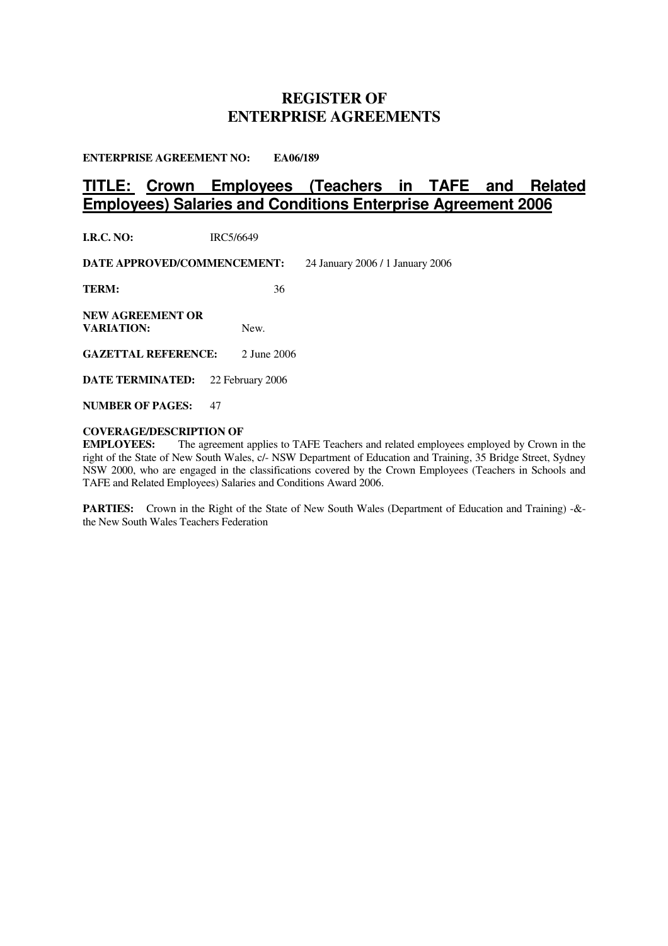# **REGISTER OF ENTERPRISE AGREEMENTS**

**ENTERPRISE AGREEMENT NO: EA06/189**

# **TITLE: Crown Employees (Teachers in TAFE and Related Employees) Salaries and Conditions Enterprise Agreement 2006**

**I.R.C. NO:** IRC5/6649

**DATE APPROVED/COMMENCEMENT:** 24 January 2006 / 1 January 2006

**TERM:** 36

**NEW AGREEMENT OR VARIATION:** New.

**GAZETTAL REFERENCE:** 2 June 2006

**DATE TERMINATED:** 22 February 2006

**NUMBER OF PAGES:** 47

## **COVERAGE/DESCRIPTION OF**

**EMPLOYEES:** The agreement applies to TAFE Teachers and related employees employed by Crown in the right of the State of New South Wales, c/- NSW Department of Education and Training, 35 Bridge Street, Sydney NSW 2000, who are engaged in the classifications covered by the Crown Employees (Teachers in Schools and TAFE and Related Employees) Salaries and Conditions Award 2006.

**PARTIES:** Crown in the Right of the State of New South Wales (Department of Education and Training) -& the New South Wales Teachers Federation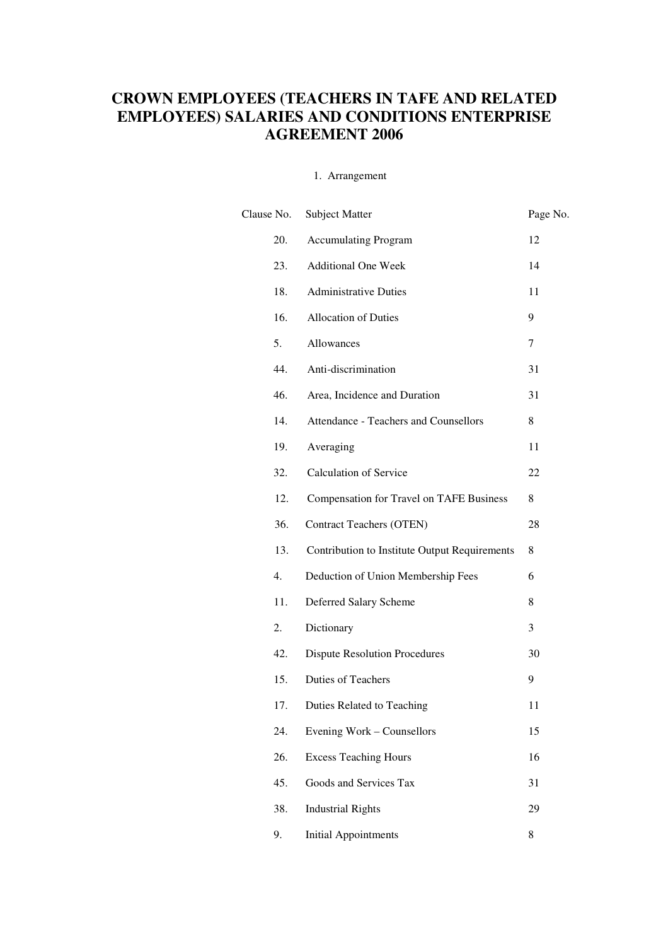# **CROWN EMPLOYEES (TEACHERS IN TAFE AND RELATED EMPLOYEES) SALARIES AND CONDITIONS ENTERPRISE AGREEMENT 2006**

# 1. Arrangement

| Clause No. | <b>Subject Matter</b>                           | Page No. |
|------------|-------------------------------------------------|----------|
| 20.        | <b>Accumulating Program</b>                     | 12       |
| 23.        | <b>Additional One Week</b>                      | 14       |
| 18.        | <b>Administrative Duties</b>                    | 11       |
| 16.        | <b>Allocation of Duties</b>                     | 9        |
| 5.         | Allowances                                      | 7        |
| 44.        | Anti-discrimination                             | 31       |
| 46.        | Area, Incidence and Duration                    | 31       |
| 14.        | Attendance - Teachers and Counsellors           | 8        |
| 19.        | Averaging                                       | 11       |
| 32.        | <b>Calculation of Service</b>                   | 22       |
| 12.        | <b>Compensation for Travel on TAFE Business</b> | 8        |
| 36.        | <b>Contract Teachers (OTEN)</b>                 | 28       |
| 13.        | Contribution to Institute Output Requirements   | 8        |
| 4.         | Deduction of Union Membership Fees              | 6        |
| 11.        | Deferred Salary Scheme                          | 8        |
| 2.         | Dictionary                                      | 3        |
| 42.        | <b>Dispute Resolution Procedures</b>            | 30       |
| 15.        | <b>Duties of Teachers</b>                       | 9        |
| 17.        | Duties Related to Teaching                      | 11       |
| 24.        | Evening Work – Counsellors                      | 15       |
| 26.        | <b>Excess Teaching Hours</b>                    | 16       |
| 45.        | Goods and Services Tax                          | 31       |
| 38.        | <b>Industrial Rights</b>                        | 29       |
| 9.         | <b>Initial Appointments</b>                     | 8        |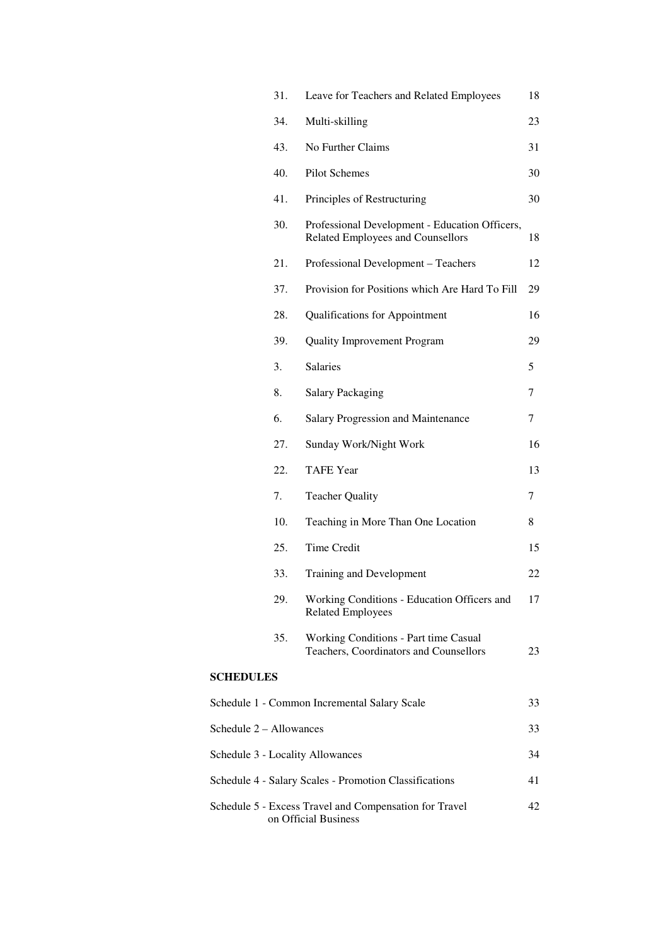|                         | 31. | Leave for Teachers and Related Employees                                            | 18 |
|-------------------------|-----|-------------------------------------------------------------------------------------|----|
|                         | 34. | Multi-skilling                                                                      | 23 |
|                         | 43. | No Further Claims                                                                   | 31 |
|                         | 40. | Pilot Schemes                                                                       | 30 |
|                         | 41. | Principles of Restructuring                                                         | 30 |
|                         | 30. | Professional Development - Education Officers,<br>Related Employees and Counsellors | 18 |
|                         | 21. | Professional Development - Teachers                                                 | 12 |
|                         | 37. | Provision for Positions which Are Hard To Fill                                      | 29 |
|                         | 28. | Qualifications for Appointment                                                      | 16 |
|                         | 39. | <b>Quality Improvement Program</b>                                                  | 29 |
|                         | 3.  | <b>Salaries</b>                                                                     | 5  |
|                         | 8.  | <b>Salary Packaging</b>                                                             | 7  |
|                         | 6.  | Salary Progression and Maintenance                                                  | 7  |
|                         | 27. | Sunday Work/Night Work                                                              | 16 |
|                         | 22. | <b>TAFE Year</b>                                                                    | 13 |
|                         | 7.  | <b>Teacher Quality</b>                                                              | 7  |
|                         | 10. | Teaching in More Than One Location                                                  | 8  |
|                         | 25. | <b>Time Credit</b>                                                                  | 15 |
|                         | 33. | Training and Development                                                            | 22 |
|                         | 29. | Working Conditions - Education Officers and<br><b>Related Employees</b>             | 17 |
|                         | 35. | Working Conditions - Part time Casual<br>Teachers, Coordinators and Counsellors     | 23 |
| <b>SCHEDULES</b>        |     |                                                                                     |    |
|                         |     | Schedule 1 - Common Incremental Salary Scale                                        | 33 |
| Schedule 2 - Allowances |     |                                                                                     | 33 |
|                         |     | Schedule 3 - Locality Allowances                                                    | 34 |
|                         |     | Schedule 4 - Salary Scales - Promotion Classifications                              | 41 |
|                         |     | Schedule 5 - Excess Travel and Compensation for Travel<br>on Official Business      | 42 |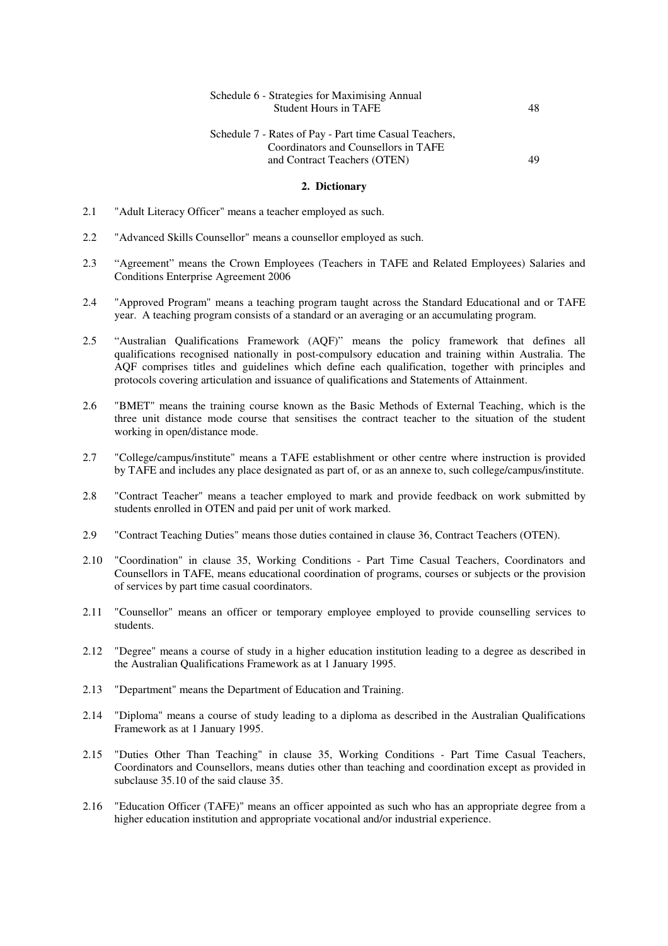| Schedule 6 - Strategies for Maximising Annual |    |
|-----------------------------------------------|----|
| <b>Student Hours in TAFE</b>                  | 48 |

# Schedule 7 - Rates of Pay - Part time Casual Teachers, Coordinators and Counsellors in TAFE and Contract Teachers (OTEN) 49

#### **2. Dictionary**

- 2.1 "Adult Literacy Officer" means a teacher employed as such.
- 2.2 "Advanced Skills Counsellor" means a counsellor employed as such.
- 2.3 "Agreement" means the Crown Employees (Teachers in TAFE and Related Employees) Salaries and Conditions Enterprise Agreement 2006
- 2.4 "Approved Program" means a teaching program taught across the Standard Educational and or TAFE year. A teaching program consists of a standard or an averaging or an accumulating program.
- 2.5 "Australian Qualifications Framework (AQF)" means the policy framework that defines all qualifications recognised nationally in post-compulsory education and training within Australia. The AQF comprises titles and guidelines which define each qualification, together with principles and protocols covering articulation and issuance of qualifications and Statements of Attainment.
- 2.6 "BMET" means the training course known as the Basic Methods of External Teaching, which is the three unit distance mode course that sensitises the contract teacher to the situation of the student working in open/distance mode.
- 2.7 "College/campus/institute" means a TAFE establishment or other centre where instruction is provided by TAFE and includes any place designated as part of, or as an annexe to, such college/campus/institute.
- 2.8 "Contract Teacher" means a teacher employed to mark and provide feedback on work submitted by students enrolled in OTEN and paid per unit of work marked.
- 2.9 "Contract Teaching Duties" means those duties contained in clause 36, Contract Teachers (OTEN).
- 2.10 "Coordination" in clause 35, Working Conditions Part Time Casual Teachers, Coordinators and Counsellors in TAFE, means educational coordination of programs, courses or subjects or the provision of services by part time casual coordinators.
- 2.11 "Counsellor" means an officer or temporary employee employed to provide counselling services to students.
- 2.12 "Degree" means a course of study in a higher education institution leading to a degree as described in the Australian Qualifications Framework as at 1 January 1995.
- 2.13 "Department" means the Department of Education and Training.
- 2.14 "Diploma" means a course of study leading to a diploma as described in the Australian Qualifications Framework as at 1 January 1995.
- 2.15 "Duties Other Than Teaching" in clause 35, Working Conditions Part Time Casual Teachers, Coordinators and Counsellors, means duties other than teaching and coordination except as provided in subclause 35.10 of the said clause 35.
- 2.16 "Education Officer (TAFE)" means an officer appointed as such who has an appropriate degree from a higher education institution and appropriate vocational and/or industrial experience.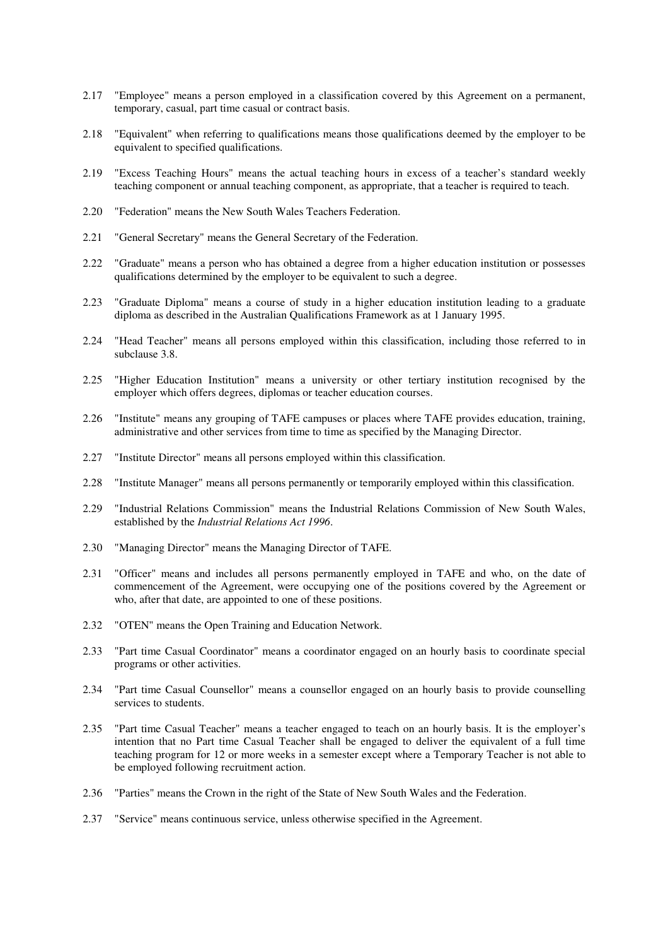- 2.17 "Employee" means a person employed in a classification covered by this Agreement on a permanent, temporary, casual, part time casual or contract basis.
- 2.18 "Equivalent" when referring to qualifications means those qualifications deemed by the employer to be equivalent to specified qualifications.
- 2.19 "Excess Teaching Hours" means the actual teaching hours in excess of a teacher's standard weekly teaching component or annual teaching component, as appropriate, that a teacher is required to teach.
- 2.20 "Federation" means the New South Wales Teachers Federation.
- 2.21 "General Secretary" means the General Secretary of the Federation.
- 2.22 "Graduate" means a person who has obtained a degree from a higher education institution or possesses qualifications determined by the employer to be equivalent to such a degree.
- 2.23 "Graduate Diploma" means a course of study in a higher education institution leading to a graduate diploma as described in the Australian Qualifications Framework as at 1 January 1995.
- 2.24 "Head Teacher" means all persons employed within this classification, including those referred to in subclause 3.8.
- 2.25 "Higher Education Institution" means a university or other tertiary institution recognised by the employer which offers degrees, diplomas or teacher education courses.
- 2.26 "Institute" means any grouping of TAFE campuses or places where TAFE provides education, training, administrative and other services from time to time as specified by the Managing Director.
- 2.27 "Institute Director" means all persons employed within this classification.
- 2.28 "Institute Manager" means all persons permanently or temporarily employed within this classification.
- 2.29 "Industrial Relations Commission" means the Industrial Relations Commission of New South Wales, established by the *Industrial Relations Act 1996*.
- 2.30 "Managing Director" means the Managing Director of TAFE.
- 2.31 "Officer" means and includes all persons permanently employed in TAFE and who, on the date of commencement of the Agreement, were occupying one of the positions covered by the Agreement or who, after that date, are appointed to one of these positions.
- 2.32 "OTEN" means the Open Training and Education Network.
- 2.33 "Part time Casual Coordinator" means a coordinator engaged on an hourly basis to coordinate special programs or other activities.
- 2.34 "Part time Casual Counsellor" means a counsellor engaged on an hourly basis to provide counselling services to students.
- 2.35 "Part time Casual Teacher" means a teacher engaged to teach on an hourly basis. It is the employer's intention that no Part time Casual Teacher shall be engaged to deliver the equivalent of a full time teaching program for 12 or more weeks in a semester except where a Temporary Teacher is not able to be employed following recruitment action.
- 2.36 "Parties" means the Crown in the right of the State of New South Wales and the Federation.
- 2.37 "Service" means continuous service, unless otherwise specified in the Agreement.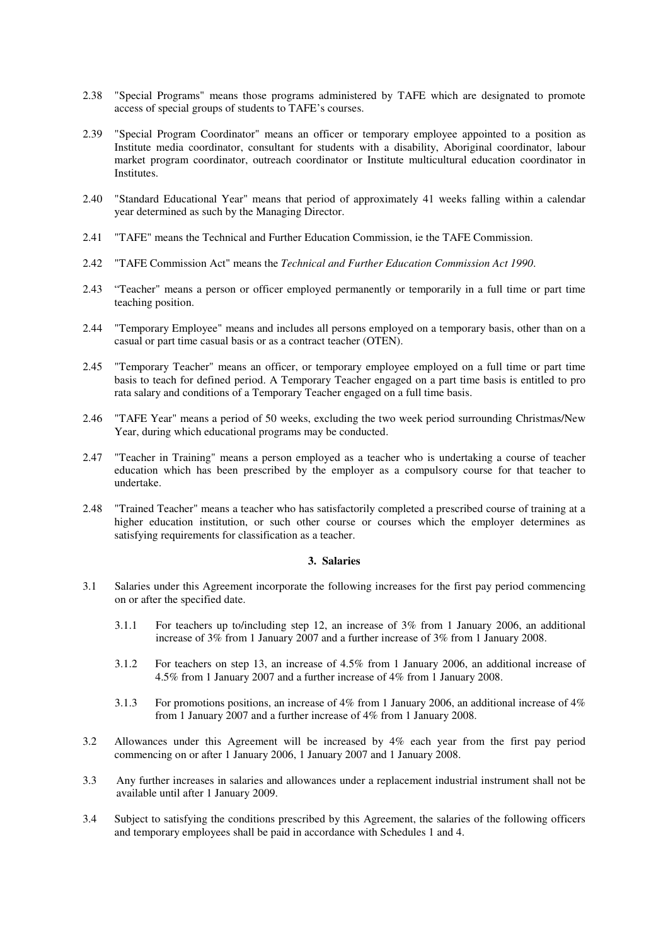- 2.38 "Special Programs" means those programs administered by TAFE which are designated to promote access of special groups of students to TAFE's courses.
- 2.39 "Special Program Coordinator" means an officer or temporary employee appointed to a position as Institute media coordinator, consultant for students with a disability, Aboriginal coordinator, labour market program coordinator, outreach coordinator or Institute multicultural education coordinator in Institutes.
- 2.40 "Standard Educational Year" means that period of approximately 41 weeks falling within a calendar year determined as such by the Managing Director.
- 2.41 "TAFE" means the Technical and Further Education Commission, ie the TAFE Commission.
- 2.42 "TAFE Commission Act" means the *Technical and Further Education Commission Act 1990*.
- 2.43 "Teacher" means a person or officer employed permanently or temporarily in a full time or part time teaching position.
- 2.44 "Temporary Employee" means and includes all persons employed on a temporary basis, other than on a casual or part time casual basis or as a contract teacher (OTEN).
- 2.45 "Temporary Teacher" means an officer, or temporary employee employed on a full time or part time basis to teach for defined period. A Temporary Teacher engaged on a part time basis is entitled to pro rata salary and conditions of a Temporary Teacher engaged on a full time basis.
- 2.46 "TAFE Year" means a period of 50 weeks, excluding the two week period surrounding Christmas/New Year, during which educational programs may be conducted.
- 2.47 "Teacher in Training" means a person employed as a teacher who is undertaking a course of teacher education which has been prescribed by the employer as a compulsory course for that teacher to undertake.
- 2.48 "Trained Teacher" means a teacher who has satisfactorily completed a prescribed course of training at a higher education institution, or such other course or courses which the employer determines as satisfying requirements for classification as a teacher.

## **3. Salaries**

- 3.1 Salaries under this Agreement incorporate the following increases for the first pay period commencing on or after the specified date.
	- 3.1.1 For teachers up to/including step 12, an increase of 3% from 1 January 2006, an additional increase of 3% from 1 January 2007 and a further increase of 3% from 1 January 2008.
	- 3.1.2 For teachers on step 13, an increase of 4.5% from 1 January 2006, an additional increase of 4.5% from 1 January 2007 and a further increase of 4% from 1 January 2008.
	- 3.1.3 For promotions positions, an increase of 4% from 1 January 2006, an additional increase of 4% from 1 January 2007 and a further increase of 4% from 1 January 2008.
- 3.2 Allowances under this Agreement will be increased by 4% each year from the first pay period commencing on or after 1 January 2006, 1 January 2007 and 1 January 2008.
- 3.3 Any further increases in salaries and allowances under a replacement industrial instrument shall not be available until after 1 January 2009.
- 3.4 Subject to satisfying the conditions prescribed by this Agreement, the salaries of the following officers and temporary employees shall be paid in accordance with Schedules 1 and 4.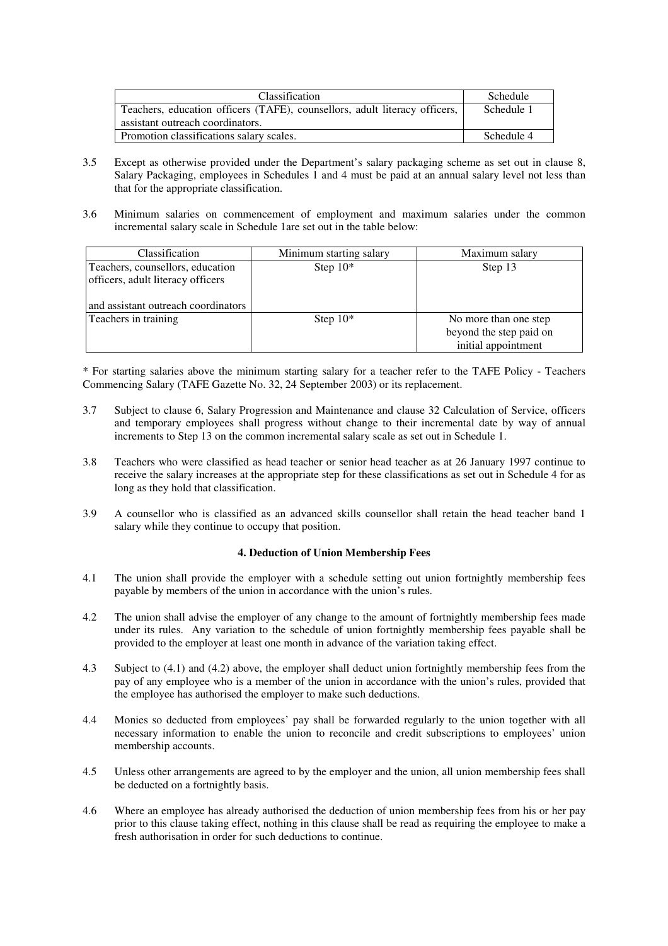| <b>Classification</b>                                                      | Schedule   |
|----------------------------------------------------------------------------|------------|
| Teachers, education officers (TAFE), counsellors, adult literacy officers, | Schedule 1 |
| assistant outreach coordinators.                                           |            |
| Promotion classifications salary scales.                                   | Schedule 4 |

- 3.5 Except as otherwise provided under the Department's salary packaging scheme as set out in clause 8, Salary Packaging, employees in Schedules 1 and 4 must be paid at an annual salary level not less than that for the appropriate classification.
- 3.6 Minimum salaries on commencement of employment and maximum salaries under the common incremental salary scale in Schedule 1are set out in the table below:

| Classification                                                        | Minimum starting salary | Maximum salary                                                          |
|-----------------------------------------------------------------------|-------------------------|-------------------------------------------------------------------------|
| Teachers, counsellors, education<br>officers, adult literacy officers | Step $10^*$             | Step 13                                                                 |
| and assistant outreach coordinators                                   |                         |                                                                         |
| Teachers in training                                                  | Step $10^*$             | No more than one step<br>beyond the step paid on<br>initial appointment |

\* For starting salaries above the minimum starting salary for a teacher refer to the TAFE Policy - Teachers Commencing Salary (TAFE Gazette No. 32, 24 September 2003) or its replacement.

- 3.7 Subject to clause 6, Salary Progression and Maintenance and clause 32 Calculation of Service, officers and temporary employees shall progress without change to their incremental date by way of annual increments to Step 13 on the common incremental salary scale as set out in Schedule 1.
- 3.8 Teachers who were classified as head teacher or senior head teacher as at 26 January 1997 continue to receive the salary increases at the appropriate step for these classifications as set out in Schedule 4 for as long as they hold that classification.
- 3.9 A counsellor who is classified as an advanced skills counsellor shall retain the head teacher band 1 salary while they continue to occupy that position.

# **4. Deduction of Union Membership Fees**

- 4.1 The union shall provide the employer with a schedule setting out union fortnightly membership fees payable by members of the union in accordance with the union's rules.
- 4.2 The union shall advise the employer of any change to the amount of fortnightly membership fees made under its rules. Any variation to the schedule of union fortnightly membership fees payable shall be provided to the employer at least one month in advance of the variation taking effect.
- 4.3 Subject to (4.1) and (4.2) above, the employer shall deduct union fortnightly membership fees from the pay of any employee who is a member of the union in accordance with the union's rules, provided that the employee has authorised the employer to make such deductions.
- 4.4 Monies so deducted from employees' pay shall be forwarded regularly to the union together with all necessary information to enable the union to reconcile and credit subscriptions to employees' union membership accounts.
- 4.5 Unless other arrangements are agreed to by the employer and the union, all union membership fees shall be deducted on a fortnightly basis.
- 4.6 Where an employee has already authorised the deduction of union membership fees from his or her pay prior to this clause taking effect, nothing in this clause shall be read as requiring the employee to make a fresh authorisation in order for such deductions to continue.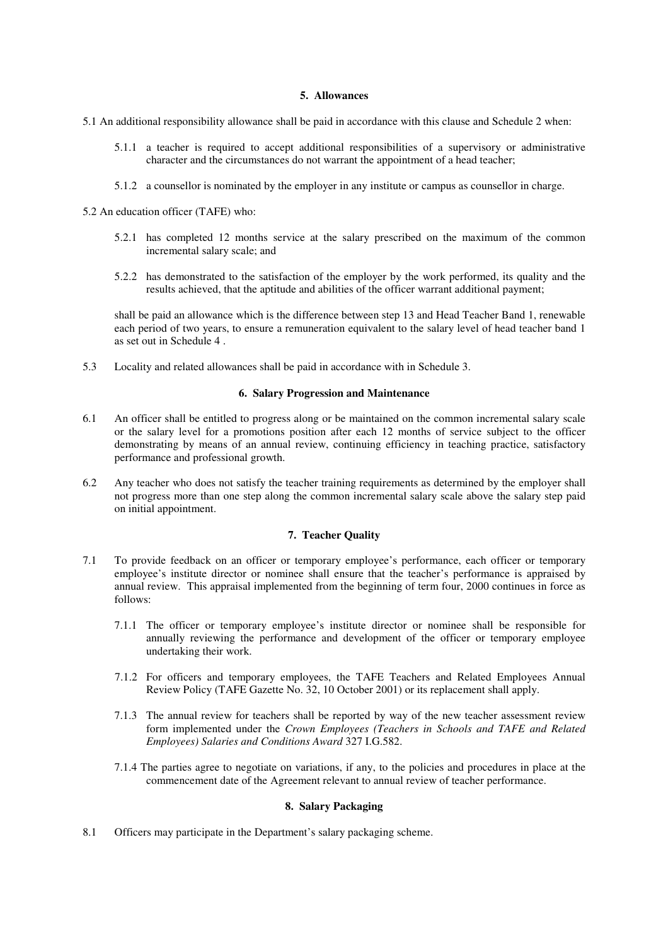## **5. Allowances**

- 5.1 An additional responsibility allowance shall be paid in accordance with this clause and Schedule 2 when:
	- 5.1.1 a teacher is required to accept additional responsibilities of a supervisory or administrative character and the circumstances do not warrant the appointment of a head teacher;
	- 5.1.2 a counsellor is nominated by the employer in any institute or campus as counsellor in charge.

5.2 An education officer (TAFE) who:

- 5.2.1 has completed 12 months service at the salary prescribed on the maximum of the common incremental salary scale; and
- 5.2.2 has demonstrated to the satisfaction of the employer by the work performed, its quality and the results achieved, that the aptitude and abilities of the officer warrant additional payment;

shall be paid an allowance which is the difference between step 13 and Head Teacher Band 1, renewable each period of two years, to ensure a remuneration equivalent to the salary level of head teacher band 1 as set out in Schedule 4 .

5.3 Locality and related allowances shall be paid in accordance with in Schedule 3.

# **6. Salary Progression and Maintenance**

- 6.1 An officer shall be entitled to progress along or be maintained on the common incremental salary scale or the salary level for a promotions position after each 12 months of service subject to the officer demonstrating by means of an annual review, continuing efficiency in teaching practice, satisfactory performance and professional growth.
- 6.2 Any teacher who does not satisfy the teacher training requirements as determined by the employer shall not progress more than one step along the common incremental salary scale above the salary step paid on initial appointment.

# **7. Teacher Quality**

- 7.1 To provide feedback on an officer or temporary employee's performance, each officer or temporary employee's institute director or nominee shall ensure that the teacher's performance is appraised by annual review. This appraisal implemented from the beginning of term four, 2000 continues in force as follows:
	- 7.1.1 The officer or temporary employee's institute director or nominee shall be responsible for annually reviewing the performance and development of the officer or temporary employee undertaking their work.
	- 7.1.2 For officers and temporary employees, the TAFE Teachers and Related Employees Annual Review Policy (TAFE Gazette No. 32, 10 October 2001) or its replacement shall apply.
	- 7.1.3 The annual review for teachers shall be reported by way of the new teacher assessment review form implemented under the *Crown Employees (Teachers in Schools and TAFE and Related Employees) Salaries and Conditions Award* 327 I.G.582.
	- 7.1.4 The parties agree to negotiate on variations, if any, to the policies and procedures in place at the commencement date of the Agreement relevant to annual review of teacher performance.

# **8. Salary Packaging**

8.1 Officers may participate in the Department's salary packaging scheme.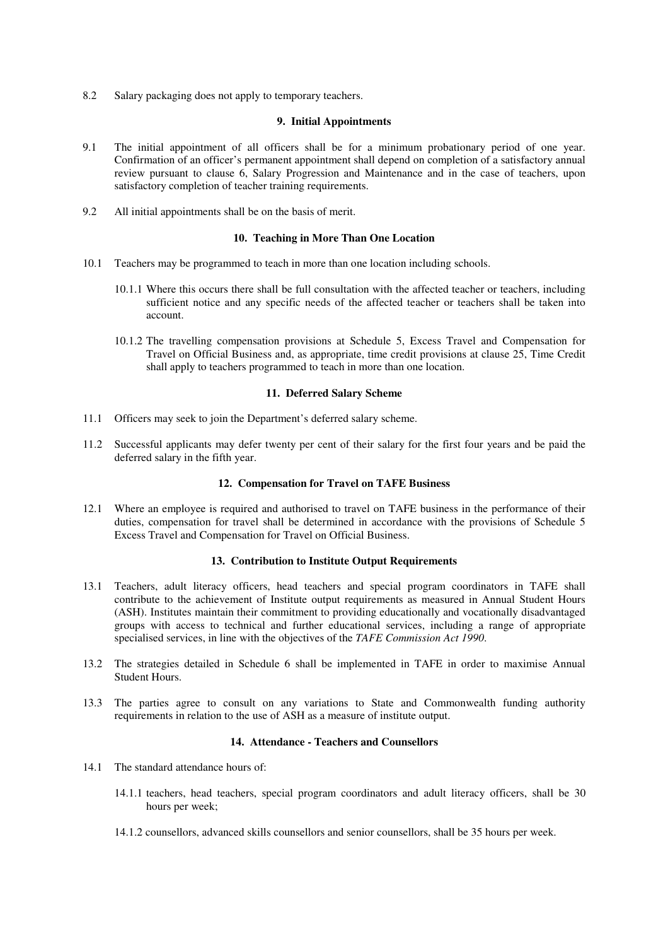8.2 Salary packaging does not apply to temporary teachers.

#### **9. Initial Appointments**

- 9.1 The initial appointment of all officers shall be for a minimum probationary period of one year. Confirmation of an officer's permanent appointment shall depend on completion of a satisfactory annual review pursuant to clause 6, Salary Progression and Maintenance and in the case of teachers, upon satisfactory completion of teacher training requirements.
- 9.2 All initial appointments shall be on the basis of merit.

#### **10. Teaching in More Than One Location**

- 10.1 Teachers may be programmed to teach in more than one location including schools.
	- 10.1.1 Where this occurs there shall be full consultation with the affected teacher or teachers, including sufficient notice and any specific needs of the affected teacher or teachers shall be taken into account.
	- 10.1.2 The travelling compensation provisions at Schedule 5, Excess Travel and Compensation for Travel on Official Business and, as appropriate, time credit provisions at clause 25, Time Credit shall apply to teachers programmed to teach in more than one location.

#### **11. Deferred Salary Scheme**

- 11.1 Officers may seek to join the Department's deferred salary scheme.
- 11.2 Successful applicants may defer twenty per cent of their salary for the first four years and be paid the deferred salary in the fifth year.

#### **12. Compensation for Travel on TAFE Business**

12.1 Where an employee is required and authorised to travel on TAFE business in the performance of their duties, compensation for travel shall be determined in accordance with the provisions of Schedule 5 Excess Travel and Compensation for Travel on Official Business.

#### **13. Contribution to Institute Output Requirements**

- 13.1 Teachers, adult literacy officers, head teachers and special program coordinators in TAFE shall contribute to the achievement of Institute output requirements as measured in Annual Student Hours (ASH). Institutes maintain their commitment to providing educationally and vocationally disadvantaged groups with access to technical and further educational services, including a range of appropriate specialised services, in line with the objectives of the *TAFE Commission Act 1990*.
- 13.2 The strategies detailed in Schedule 6 shall be implemented in TAFE in order to maximise Annual Student Hours.
- 13.3 The parties agree to consult on any variations to State and Commonwealth funding authority requirements in relation to the use of ASH as a measure of institute output.

## **14. Attendance - Teachers and Counsellors**

- 14.1 The standard attendance hours of:
	- 14.1.1 teachers, head teachers, special program coordinators and adult literacy officers, shall be 30 hours per week;
	- 14.1.2 counsellors, advanced skills counsellors and senior counsellors, shall be 35 hours per week.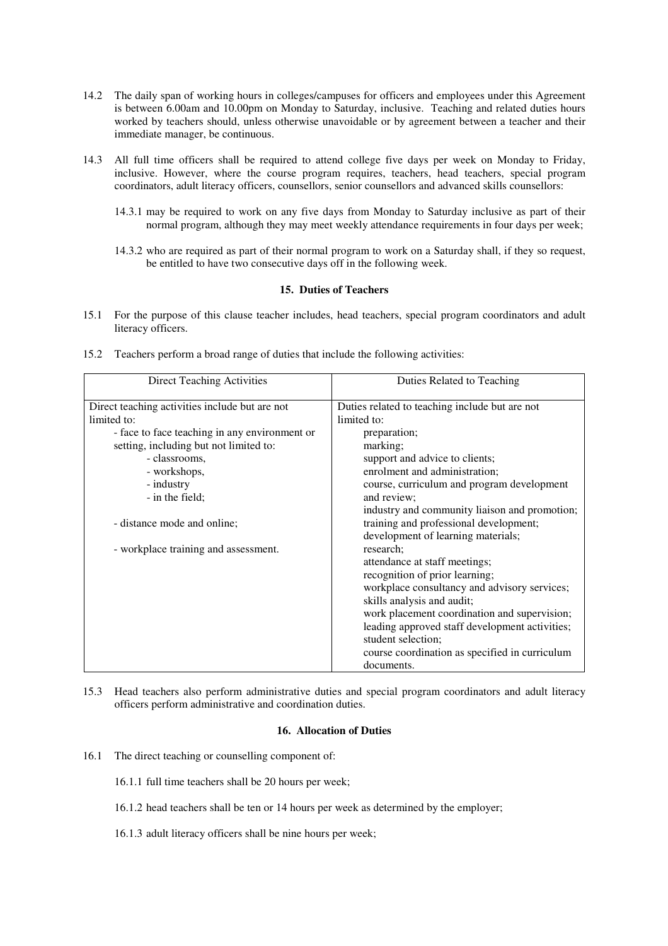- 14.2 The daily span of working hours in colleges/campuses for officers and employees under this Agreement is between 6.00am and 10.00pm on Monday to Saturday, inclusive. Teaching and related duties hours worked by teachers should, unless otherwise unavoidable or by agreement between a teacher and their immediate manager, be continuous.
- 14.3 All full time officers shall be required to attend college five days per week on Monday to Friday, inclusive. However, where the course program requires, teachers, head teachers, special program coordinators, adult literacy officers, counsellors, senior counsellors and advanced skills counsellors:
	- 14.3.1 may be required to work on any five days from Monday to Saturday inclusive as part of their normal program, although they may meet weekly attendance requirements in four days per week;
	- 14.3.2 who are required as part of their normal program to work on a Saturday shall, if they so request, be entitled to have two consecutive days off in the following week.

# **15. Duties of Teachers**

15.1 For the purpose of this clause teacher includes, head teachers, special program coordinators and adult literacy officers.

|  |  |  |  |  |  | 15.2 Teachers perform a broad range of duties that include the following activities: |
|--|--|--|--|--|--|--------------------------------------------------------------------------------------|
|--|--|--|--|--|--|--------------------------------------------------------------------------------------|

| <b>Direct Teaching Activities</b>              | Duties Related to Teaching                     |
|------------------------------------------------|------------------------------------------------|
| Direct teaching activities include but are not | Duties related to teaching include but are not |
| limited to:                                    | limited to:                                    |
| - face to face teaching in any environment or  | preparation;                                   |
| setting, including but not limited to:         | marking;                                       |
| - classrooms.                                  | support and advice to clients;                 |
| - workshops,                                   | enrolment and administration;                  |
| - industry                                     | course, curriculum and program development     |
| - in the field:                                | and review:                                    |
|                                                | industry and community liaison and promotion;  |
| - distance mode and online;                    | training and professional development;         |
|                                                | development of learning materials;             |
| - workplace training and assessment.           | research;                                      |
|                                                | attendance at staff meetings;                  |
|                                                | recognition of prior learning;                 |
|                                                | workplace consultancy and advisory services;   |
|                                                | skills analysis and audit;                     |
|                                                | work placement coordination and supervision;   |
|                                                | leading approved staff development activities; |
|                                                | student selection;                             |
|                                                | course coordination as specified in curriculum |
|                                                | documents.                                     |

15.3 Head teachers also perform administrative duties and special program coordinators and adult literacy officers perform administrative and coordination duties.

# **16. Allocation of Duties**

- 16.1 The direct teaching or counselling component of:
	- 16.1.1 full time teachers shall be 20 hours per week;
	- 16.1.2 head teachers shall be ten or 14 hours per week as determined by the employer;
	- 16.1.3 adult literacy officers shall be nine hours per week;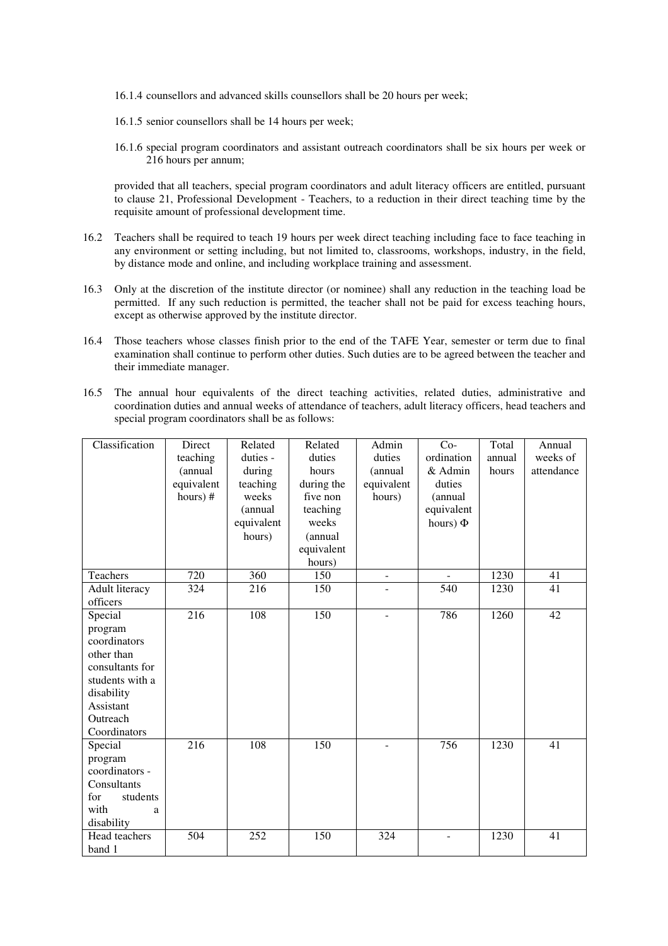- 16.1.4 counsellors and advanced skills counsellors shall be 20 hours per week;
- 16.1.5 senior counsellors shall be 14 hours per week;
- 16.1.6 special program coordinators and assistant outreach coordinators shall be six hours per week or 216 hours per annum;

provided that all teachers, special program coordinators and adult literacy officers are entitled, pursuant to clause 21, Professional Development - Teachers, to a reduction in their direct teaching time by the requisite amount of professional development time.

- 16.2 Teachers shall be required to teach 19 hours per week direct teaching including face to face teaching in any environment or setting including, but not limited to, classrooms, workshops, industry, in the field, by distance mode and online, and including workplace training and assessment.
- 16.3 Only at the discretion of the institute director (or nominee) shall any reduction in the teaching load be permitted. If any such reduction is permitted, the teacher shall not be paid for excess teaching hours, except as otherwise approved by the institute director.
- 16.4 Those teachers whose classes finish prior to the end of the TAFE Year, semester or term due to final examination shall continue to perform other duties. Such duties are to be agreed between the teacher and their immediate manager.
- 16.5 The annual hour equivalents of the direct teaching activities, related duties, administrative and coordination duties and annual weeks of attendance of teachers, adult literacy officers, head teachers and special program coordinators shall be as follows:

| Classification  | Direct           | Related          | Related    | Admin      | $Co-$                    | Total  | Annual     |
|-----------------|------------------|------------------|------------|------------|--------------------------|--------|------------|
|                 | teaching         | duties -         | duties     | duties     | ordination               | annual | weeks of   |
|                 | (annual          | during           | hours      | (annual    | & Admin                  | hours  | attendance |
|                 | equivalent       | teaching         | during the | equivalent | duties                   |        |            |
|                 | hours) #         | weeks            | five non   | hours)     | (annual                  |        |            |
|                 |                  | (annual          | teaching   |            | equivalent               |        |            |
|                 |                  | equivalent       | weeks      |            | hours) $\Phi$            |        |            |
|                 |                  | hours)           | (annual    |            |                          |        |            |
|                 |                  |                  | equivalent |            |                          |        |            |
|                 |                  |                  | hours)     |            |                          |        |            |
| Teachers        | $\overline{720}$ | $\overline{360}$ | 150        | $\equiv$   | $\overline{\phantom{a}}$ | 1230   | 41         |
| Adult literacy  | 324              | 216              | 150        |            | 540                      | 1230   | 41         |
| officers        |                  |                  |            |            |                          |        |            |
| Special         | 216              | 108              | 150        |            | 786                      | 1260   | 42         |
| program         |                  |                  |            |            |                          |        |            |
| coordinators    |                  |                  |            |            |                          |        |            |
| other than      |                  |                  |            |            |                          |        |            |
| consultants for |                  |                  |            |            |                          |        |            |
| students with a |                  |                  |            |            |                          |        |            |
| disability      |                  |                  |            |            |                          |        |            |
| Assistant       |                  |                  |            |            |                          |        |            |
| Outreach        |                  |                  |            |            |                          |        |            |
| Coordinators    |                  |                  |            |            |                          |        |            |
| Special         | 216              | 108              | 150        |            | 756                      | 1230   | 41         |
| program         |                  |                  |            |            |                          |        |            |
| coordinators -  |                  |                  |            |            |                          |        |            |
| Consultants     |                  |                  |            |            |                          |        |            |
| for<br>students |                  |                  |            |            |                          |        |            |
| with<br>a       |                  |                  |            |            |                          |        |            |
| disability      |                  |                  |            |            |                          |        |            |
| Head teachers   | 504              | 252              | 150        | 324        | $\overline{\phantom{a}}$ | 1230   | 41         |
| band 1          |                  |                  |            |            |                          |        |            |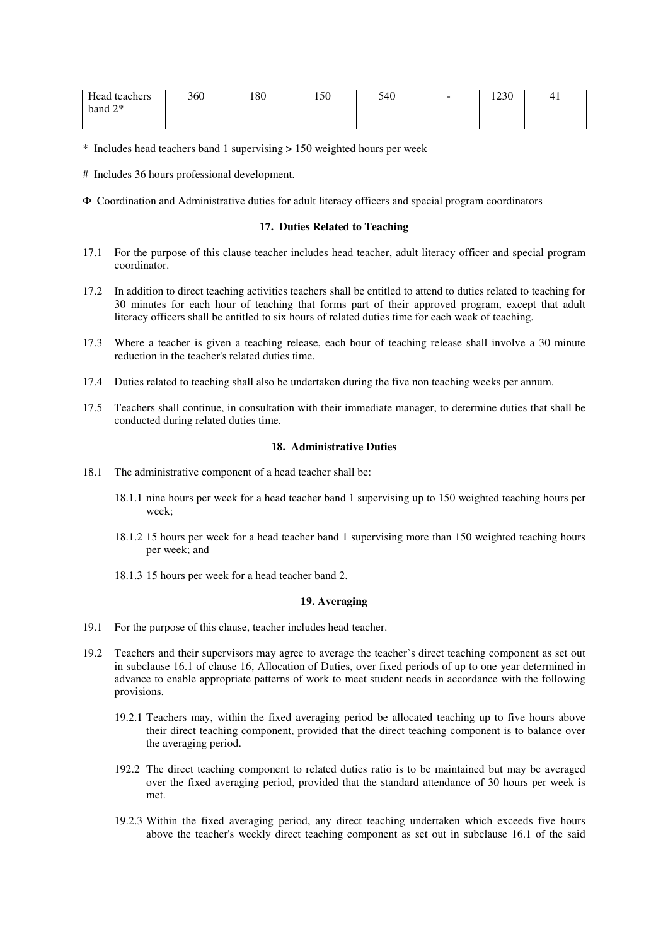| Head teachers | 360 | 180 | 150 | 540 | $\overline{\phantom{0}}$ | 1230 | 41 |
|---------------|-----|-----|-----|-----|--------------------------|------|----|
| band $2^*$    |     |     |     |     |                          |      |    |
|               |     |     |     |     |                          |      |    |

\* Includes head teachers band 1 supervising > 150 weighted hours per week

# Includes 36 hours professional development.

Φ Coordination and Administrative duties for adult literacy officers and special program coordinators

#### **17. Duties Related to Teaching**

- 17.1 For the purpose of this clause teacher includes head teacher, adult literacy officer and special program coordinator.
- 17.2 In addition to direct teaching activities teachers shall be entitled to attend to duties related to teaching for 30 minutes for each hour of teaching that forms part of their approved program, except that adult literacy officers shall be entitled to six hours of related duties time for each week of teaching.
- 17.3 Where a teacher is given a teaching release, each hour of teaching release shall involve a 30 minute reduction in the teacher's related duties time.
- 17.4 Duties related to teaching shall also be undertaken during the five non teaching weeks per annum.
- 17.5 Teachers shall continue, in consultation with their immediate manager, to determine duties that shall be conducted during related duties time.

#### **18. Administrative Duties**

- 18.1 The administrative component of a head teacher shall be:
	- 18.1.1 nine hours per week for a head teacher band 1 supervising up to 150 weighted teaching hours per week;
	- 18.1.2 15 hours per week for a head teacher band 1 supervising more than 150 weighted teaching hours per week; and
	- 18.1.3 15 hours per week for a head teacher band 2.

## **19. Averaging**

- 19.1 For the purpose of this clause, teacher includes head teacher.
- 19.2 Teachers and their supervisors may agree to average the teacher's direct teaching component as set out in subclause 16.1 of clause 16, Allocation of Duties, over fixed periods of up to one year determined in advance to enable appropriate patterns of work to meet student needs in accordance with the following provisions.
	- 19.2.1 Teachers may, within the fixed averaging period be allocated teaching up to five hours above their direct teaching component, provided that the direct teaching component is to balance over the averaging period.
	- 192.2 The direct teaching component to related duties ratio is to be maintained but may be averaged over the fixed averaging period, provided that the standard attendance of 30 hours per week is met.
	- 19.2.3 Within the fixed averaging period, any direct teaching undertaken which exceeds five hours above the teacher's weekly direct teaching component as set out in subclause 16.1 of the said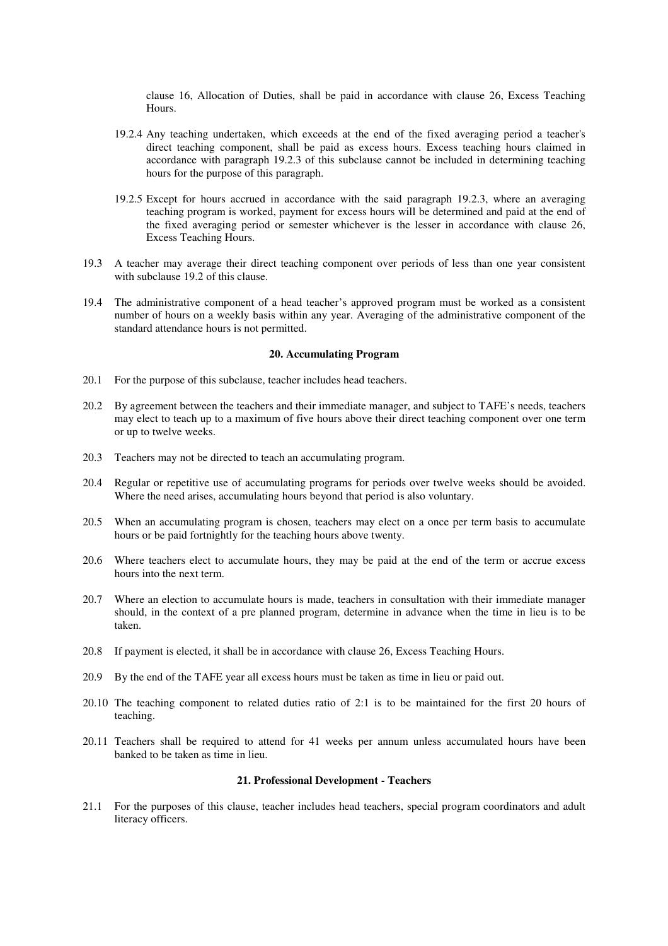clause 16, Allocation of Duties, shall be paid in accordance with clause 26, Excess Teaching Hours.

- 19.2.4 Any teaching undertaken, which exceeds at the end of the fixed averaging period a teacher's direct teaching component, shall be paid as excess hours. Excess teaching hours claimed in accordance with paragraph 19.2.3 of this subclause cannot be included in determining teaching hours for the purpose of this paragraph.
- 19.2.5 Except for hours accrued in accordance with the said paragraph 19.2.3, where an averaging teaching program is worked, payment for excess hours will be determined and paid at the end of the fixed averaging period or semester whichever is the lesser in accordance with clause 26, Excess Teaching Hours.
- 19.3 A teacher may average their direct teaching component over periods of less than one year consistent with subclause 19.2 of this clause.
- 19.4 The administrative component of a head teacher's approved program must be worked as a consistent number of hours on a weekly basis within any year. Averaging of the administrative component of the standard attendance hours is not permitted.

# **20. Accumulating Program**

- 20.1 For the purpose of this subclause, teacher includes head teachers.
- 20.2 By agreement between the teachers and their immediate manager, and subject to TAFE's needs, teachers may elect to teach up to a maximum of five hours above their direct teaching component over one term or up to twelve weeks.
- 20.3 Teachers may not be directed to teach an accumulating program.
- 20.4 Regular or repetitive use of accumulating programs for periods over twelve weeks should be avoided. Where the need arises, accumulating hours beyond that period is also voluntary.
- 20.5 When an accumulating program is chosen, teachers may elect on a once per term basis to accumulate hours or be paid fortnightly for the teaching hours above twenty.
- 20.6 Where teachers elect to accumulate hours, they may be paid at the end of the term or accrue excess hours into the next term.
- 20.7 Where an election to accumulate hours is made, teachers in consultation with their immediate manager should, in the context of a pre planned program, determine in advance when the time in lieu is to be taken.
- 20.8 If payment is elected, it shall be in accordance with clause 26, Excess Teaching Hours.
- 20.9 By the end of the TAFE year all excess hours must be taken as time in lieu or paid out.
- 20.10 The teaching component to related duties ratio of 2:1 is to be maintained for the first 20 hours of teaching.
- 20.11 Teachers shall be required to attend for 41 weeks per annum unless accumulated hours have been banked to be taken as time in lieu.

## **21. Professional Development - Teachers**

21.1 For the purposes of this clause, teacher includes head teachers, special program coordinators and adult literacy officers.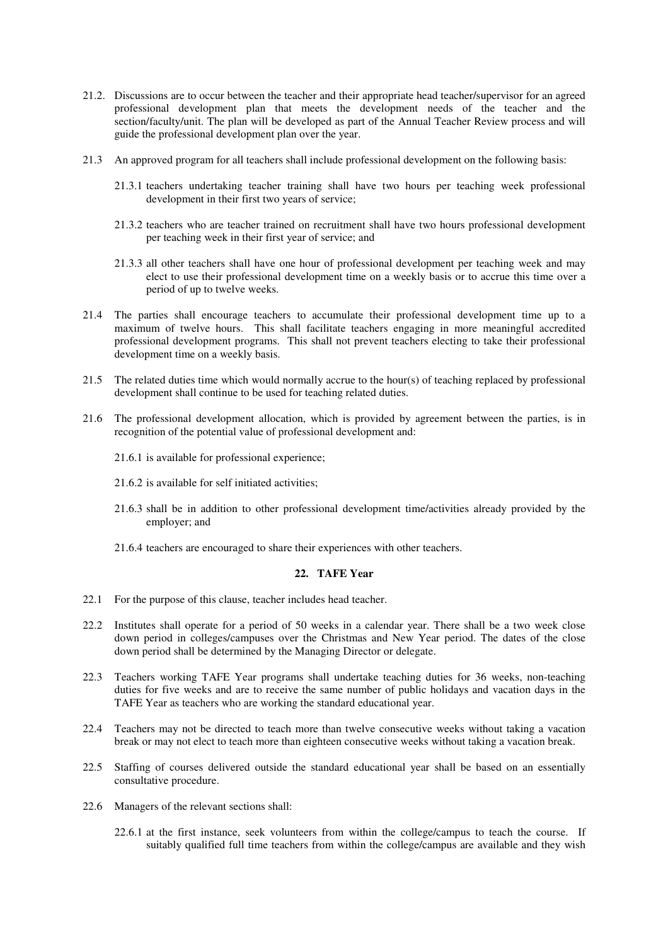- 21.2. Discussions are to occur between the teacher and their appropriate head teacher/supervisor for an agreed professional development plan that meets the development needs of the teacher and the section/faculty/unit. The plan will be developed as part of the Annual Teacher Review process and will guide the professional development plan over the year.
- 21.3 An approved program for all teachers shall include professional development on the following basis:
	- 21.3.1 teachers undertaking teacher training shall have two hours per teaching week professional development in their first two years of service;
	- 21.3.2 teachers who are teacher trained on recruitment shall have two hours professional development per teaching week in their first year of service; and
	- 21.3.3 all other teachers shall have one hour of professional development per teaching week and may elect to use their professional development time on a weekly basis or to accrue this time over a period of up to twelve weeks.
- 21.4 The parties shall encourage teachers to accumulate their professional development time up to a maximum of twelve hours. This shall facilitate teachers engaging in more meaningful accredited professional development programs. This shall not prevent teachers electing to take their professional development time on a weekly basis.
- 21.5 The related duties time which would normally accrue to the hour(s) of teaching replaced by professional development shall continue to be used for teaching related duties.
- 21.6 The professional development allocation, which is provided by agreement between the parties, is in recognition of the potential value of professional development and:
	- 21.6.1 is available for professional experience;
	- 21.6.2 is available for self initiated activities;
	- 21.6.3 shall be in addition to other professional development time/activities already provided by the employer; and
	- 21.6.4 teachers are encouraged to share their experiences with other teachers.

## **22. TAFE Year**

- 22.1 For the purpose of this clause, teacher includes head teacher.
- 22.2 Institutes shall operate for a period of 50 weeks in a calendar year. There shall be a two week close down period in colleges/campuses over the Christmas and New Year period. The dates of the close down period shall be determined by the Managing Director or delegate.
- 22.3 Teachers working TAFE Year programs shall undertake teaching duties for 36 weeks, non-teaching duties for five weeks and are to receive the same number of public holidays and vacation days in the TAFE Year as teachers who are working the standard educational year.
- 22.4 Teachers may not be directed to teach more than twelve consecutive weeks without taking a vacation break or may not elect to teach more than eighteen consecutive weeks without taking a vacation break.
- 22.5 Staffing of courses delivered outside the standard educational year shall be based on an essentially consultative procedure.
- 22.6 Managers of the relevant sections shall:
	- 22.6.1 at the first instance, seek volunteers from within the college/campus to teach the course. If suitably qualified full time teachers from within the college/campus are available and they wish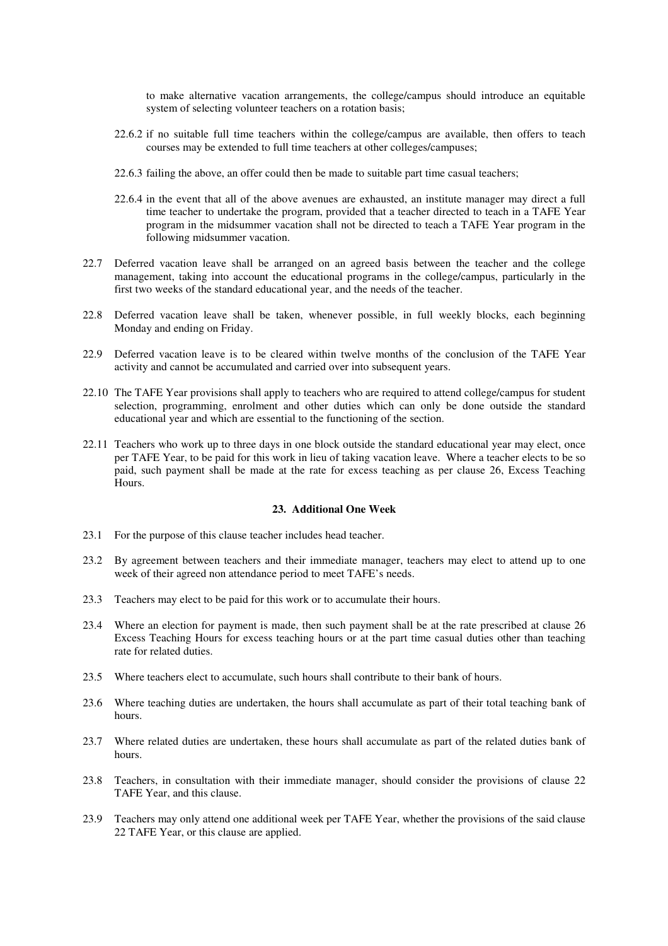to make alternative vacation arrangements, the college/campus should introduce an equitable system of selecting volunteer teachers on a rotation basis;

- 22.6.2 if no suitable full time teachers within the college/campus are available, then offers to teach courses may be extended to full time teachers at other colleges/campuses;
- 22.6.3 failing the above, an offer could then be made to suitable part time casual teachers;
- 22.6.4 in the event that all of the above avenues are exhausted, an institute manager may direct a full time teacher to undertake the program, provided that a teacher directed to teach in a TAFE Year program in the midsummer vacation shall not be directed to teach a TAFE Year program in the following midsummer vacation.
- 22.7 Deferred vacation leave shall be arranged on an agreed basis between the teacher and the college management, taking into account the educational programs in the college/campus, particularly in the first two weeks of the standard educational year, and the needs of the teacher.
- 22.8 Deferred vacation leave shall be taken, whenever possible, in full weekly blocks, each beginning Monday and ending on Friday.
- 22.9 Deferred vacation leave is to be cleared within twelve months of the conclusion of the TAFE Year activity and cannot be accumulated and carried over into subsequent years.
- 22.10 The TAFE Year provisions shall apply to teachers who are required to attend college/campus for student selection, programming, enrolment and other duties which can only be done outside the standard educational year and which are essential to the functioning of the section.
- 22.11 Teachers who work up to three days in one block outside the standard educational year may elect, once per TAFE Year, to be paid for this work in lieu of taking vacation leave. Where a teacher elects to be so paid, such payment shall be made at the rate for excess teaching as per clause 26, Excess Teaching Hours.

# **23. Additional One Week**

- 23.1 For the purpose of this clause teacher includes head teacher.
- 23.2 By agreement between teachers and their immediate manager, teachers may elect to attend up to one week of their agreed non attendance period to meet TAFE's needs.
- 23.3 Teachers may elect to be paid for this work or to accumulate their hours.
- 23.4 Where an election for payment is made, then such payment shall be at the rate prescribed at clause 26 Excess Teaching Hours for excess teaching hours or at the part time casual duties other than teaching rate for related duties.
- 23.5 Where teachers elect to accumulate, such hours shall contribute to their bank of hours.
- 23.6 Where teaching duties are undertaken, the hours shall accumulate as part of their total teaching bank of hours.
- 23.7 Where related duties are undertaken, these hours shall accumulate as part of the related duties bank of hours.
- 23.8 Teachers, in consultation with their immediate manager, should consider the provisions of clause 22 TAFE Year, and this clause.
- 23.9 Teachers may only attend one additional week per TAFE Year, whether the provisions of the said clause 22 TAFE Year, or this clause are applied.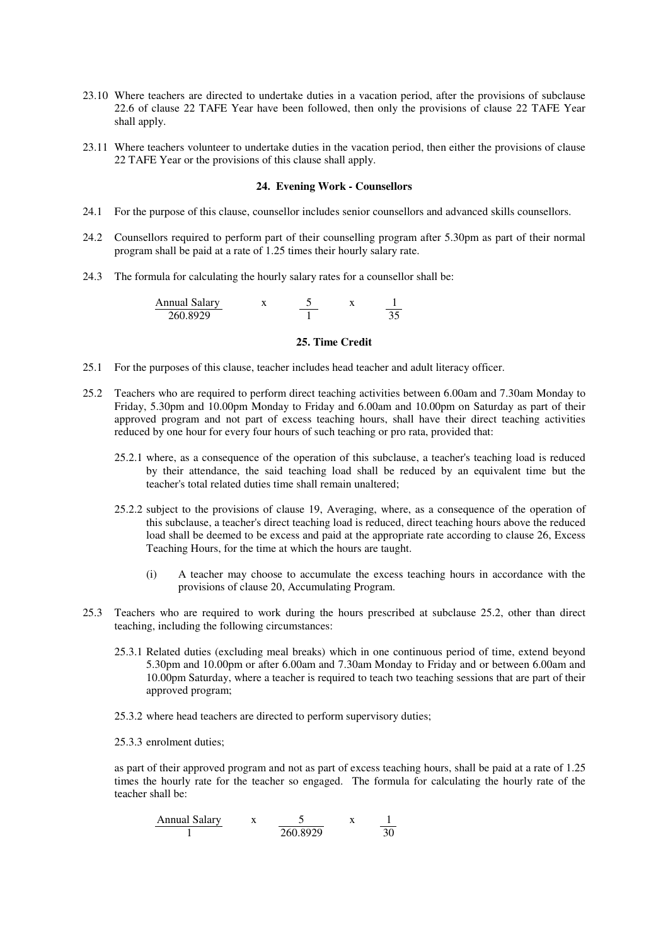- 23.10 Where teachers are directed to undertake duties in a vacation period, after the provisions of subclause 22.6 of clause 22 TAFE Year have been followed, then only the provisions of clause 22 TAFE Year shall apply.
- 23.11 Where teachers volunteer to undertake duties in the vacation period, then either the provisions of clause 22 TAFE Year or the provisions of this clause shall apply.

#### **24. Evening Work - Counsellors**

- 24.1 For the purpose of this clause, counsellor includes senior counsellors and advanced skills counsellors.
- 24.2 Counsellors required to perform part of their counselling program after 5.30pm as part of their normal program shall be paid at a rate of 1.25 times their hourly salary rate.
- 24.3 The formula for calculating the hourly salary rates for a counsellor shall be:

| Annual Salarv |  |  |
|---------------|--|--|
| 260.8929      |  |  |

#### **25. Time Credit**

- 25.1 For the purposes of this clause, teacher includes head teacher and adult literacy officer.
- 25.2 Teachers who are required to perform direct teaching activities between 6.00am and 7.30am Monday to Friday, 5.30pm and 10.00pm Monday to Friday and 6.00am and 10.00pm on Saturday as part of their approved program and not part of excess teaching hours, shall have their direct teaching activities reduced by one hour for every four hours of such teaching or pro rata, provided that:
	- 25.2.1 where, as a consequence of the operation of this subclause, a teacher's teaching load is reduced by their attendance, the said teaching load shall be reduced by an equivalent time but the teacher's total related duties time shall remain unaltered;
	- 25.2.2 subject to the provisions of clause 19, Averaging, where, as a consequence of the operation of this subclause, a teacher's direct teaching load is reduced, direct teaching hours above the reduced load shall be deemed to be excess and paid at the appropriate rate according to clause 26, Excess Teaching Hours, for the time at which the hours are taught.
		- (i) A teacher may choose to accumulate the excess teaching hours in accordance with the provisions of clause 20, Accumulating Program.
- 25.3 Teachers who are required to work during the hours prescribed at subclause 25.2, other than direct teaching, including the following circumstances:
	- 25.3.1 Related duties (excluding meal breaks) which in one continuous period of time, extend beyond 5.30pm and 10.00pm or after 6.00am and 7.30am Monday to Friday and or between 6.00am and 10.00pm Saturday, where a teacher is required to teach two teaching sessions that are part of their approved program;
	- 25.3.2 where head teachers are directed to perform supervisory duties;
	- 25.3.3 enrolment duties;

as part of their approved program and not as part of excess teaching hours, shall be paid at a rate of 1.25 times the hourly rate for the teacher so engaged. The formula for calculating the hourly rate of the teacher shall be:

| Annual salary | x        | 5 | x              | $\frac{1}{30}$ |
|---------------|----------|---|----------------|----------------|
| 1             | 260.8929 | x | $\frac{1}{30}$ |                |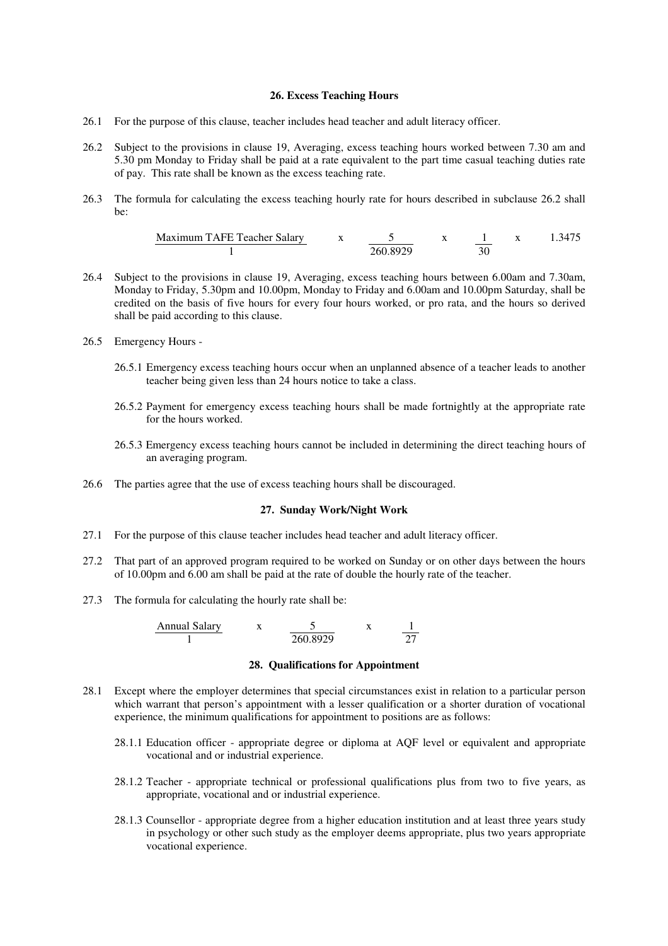## **26. Excess Teaching Hours**

- 26.1 For the purpose of this clause, teacher includes head teacher and adult literacy officer.
- 26.2 Subject to the provisions in clause 19, Averaging, excess teaching hours worked between 7.30 am and 5.30 pm Monday to Friday shall be paid at a rate equivalent to the part time casual teaching duties rate of pay. This rate shall be known as the excess teaching rate.
- 26.3 The formula for calculating the excess teaching hourly rate for hours described in subclause 26.2 shall be:

| Maximum TAFE Teacher Salary | x        | 5 | x              | 1 | x      | 1.3475 |
|-----------------------------|----------|---|----------------|---|--------|--------|
| 1                           | 260.8929 | x | $\frac{1}{30}$ | x | 1.3475 |        |

- 26.4 Subject to the provisions in clause 19, Averaging, excess teaching hours between 6.00am and 7.30am, Monday to Friday, 5.30pm and 10.00pm, Monday to Friday and 6.00am and 10.00pm Saturday, shall be credited on the basis of five hours for every four hours worked, or pro rata, and the hours so derived shall be paid according to this clause.
- 26.5 Emergency Hours
	- 26.5.1 Emergency excess teaching hours occur when an unplanned absence of a teacher leads to another teacher being given less than 24 hours notice to take a class.
	- 26.5.2 Payment for emergency excess teaching hours shall be made fortnightly at the appropriate rate for the hours worked.
	- 26.5.3 Emergency excess teaching hours cannot be included in determining the direct teaching hours of an averaging program.
- 26.6 The parties agree that the use of excess teaching hours shall be discouraged.

#### **27. Sunday Work/Night Work**

- 27.1 For the purpose of this clause teacher includes head teacher and adult literacy officer.
- 27.2 That part of an approved program required to be worked on Sunday or on other days between the hours of 10.00pm and 6.00 am shall be paid at the rate of double the hourly rate of the teacher.
- 27.3 The formula for calculating the hourly rate shall be:

| Annual Salarv |          |  |
|---------------|----------|--|
|               | 260.8929 |  |

#### **28. Qualifications for Appointment**

- 28.1 Except where the employer determines that special circumstances exist in relation to a particular person which warrant that person's appointment with a lesser qualification or a shorter duration of vocational experience, the minimum qualifications for appointment to positions are as follows:
	- 28.1.1 Education officer appropriate degree or diploma at AQF level or equivalent and appropriate vocational and or industrial experience.
	- 28.1.2 Teacher appropriate technical or professional qualifications plus from two to five years, as appropriate, vocational and or industrial experience.
	- 28.1.3 Counsellor appropriate degree from a higher education institution and at least three years study in psychology or other such study as the employer deems appropriate, plus two years appropriate vocational experience.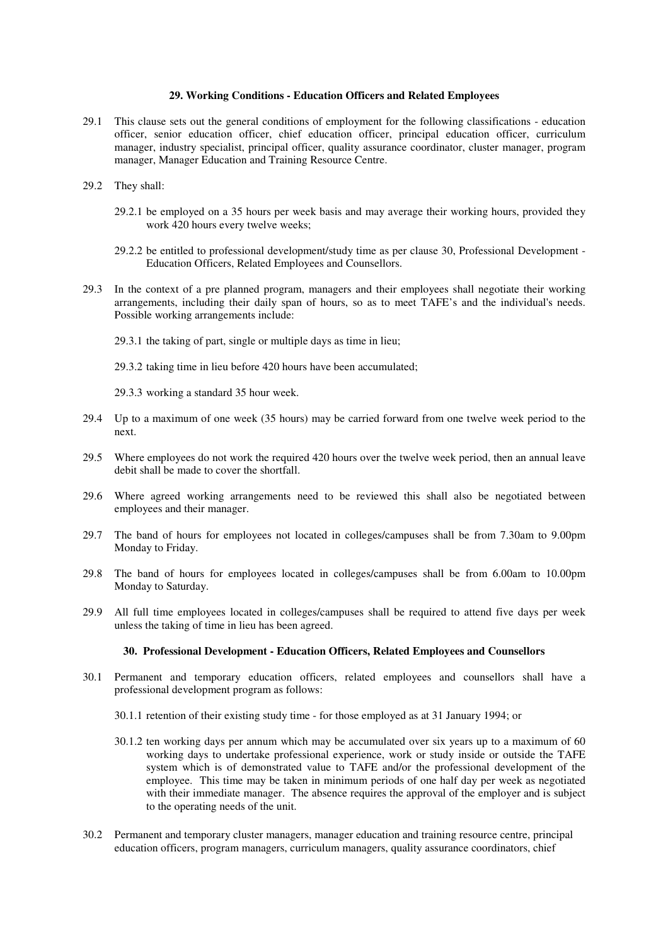# **29. Working Conditions - Education Officers and Related Employees**

- 29.1 This clause sets out the general conditions of employment for the following classifications education officer, senior education officer, chief education officer, principal education officer, curriculum manager, industry specialist, principal officer, quality assurance coordinator, cluster manager, program manager, Manager Education and Training Resource Centre.
- 29.2 They shall:
	- 29.2.1 be employed on a 35 hours per week basis and may average their working hours, provided they work 420 hours every twelve weeks;
	- 29.2.2 be entitled to professional development/study time as per clause 30, Professional Development Education Officers, Related Employees and Counsellors.
- 29.3 In the context of a pre planned program, managers and their employees shall negotiate their working arrangements, including their daily span of hours, so as to meet TAFE's and the individual's needs. Possible working arrangements include:
	- 29.3.1 the taking of part, single or multiple days as time in lieu;
	- 29.3.2 taking time in lieu before 420 hours have been accumulated;
	- 29.3.3 working a standard 35 hour week.
- 29.4 Up to a maximum of one week (35 hours) may be carried forward from one twelve week period to the next.
- 29.5 Where employees do not work the required 420 hours over the twelve week period, then an annual leave debit shall be made to cover the shortfall.
- 29.6 Where agreed working arrangements need to be reviewed this shall also be negotiated between employees and their manager.
- 29.7 The band of hours for employees not located in colleges/campuses shall be from 7.30am to 9.00pm Monday to Friday.
- 29.8 The band of hours for employees located in colleges/campuses shall be from 6.00am to 10.00pm Monday to Saturday.
- 29.9 All full time employees located in colleges/campuses shall be required to attend five days per week unless the taking of time in lieu has been agreed.

## **30. Professional Development - Education Officers, Related Employees and Counsellors**

- 30.1 Permanent and temporary education officers, related employees and counsellors shall have a professional development program as follows:
	- 30.1.1 retention of their existing study time for those employed as at 31 January 1994; or
	- 30.1.2 ten working days per annum which may be accumulated over six years up to a maximum of 60 working days to undertake professional experience, work or study inside or outside the TAFE system which is of demonstrated value to TAFE and/or the professional development of the employee. This time may be taken in minimum periods of one half day per week as negotiated with their immediate manager. The absence requires the approval of the employer and is subject to the operating needs of the unit.
- 30.2 Permanent and temporary cluster managers, manager education and training resource centre, principal education officers, program managers, curriculum managers, quality assurance coordinators, chief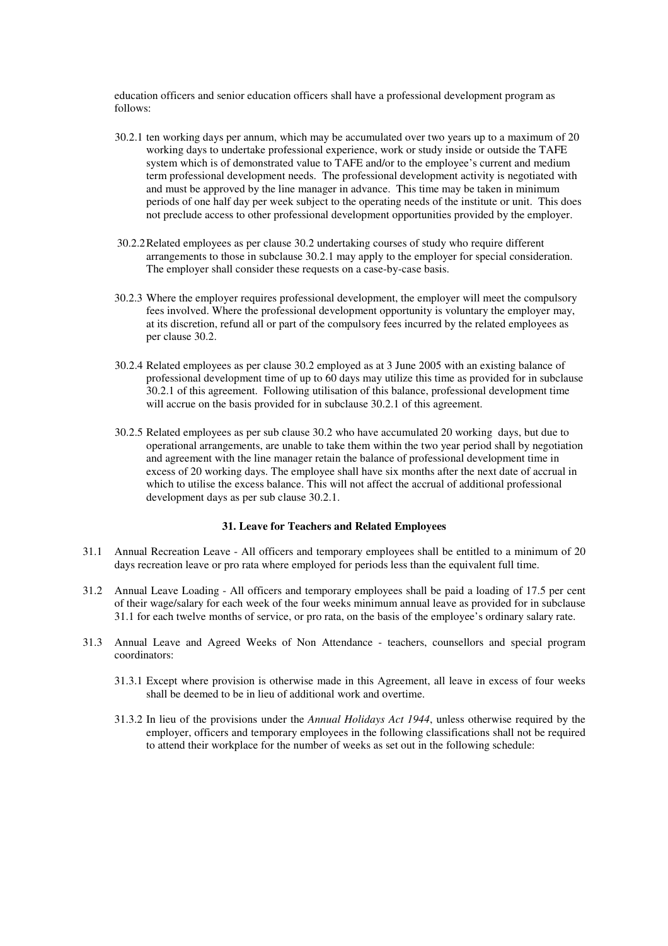education officers and senior education officers shall have a professional development program as follows:

- 30.2.1 ten working days per annum, which may be accumulated over two years up to a maximum of 20 working days to undertake professional experience, work or study inside or outside the TAFE system which is of demonstrated value to TAFE and/or to the employee's current and medium term professional development needs. The professional development activity is negotiated with and must be approved by the line manager in advance. This time may be taken in minimum periods of one half day per week subject to the operating needs of the institute or unit. This does not preclude access to other professional development opportunities provided by the employer.
- 30.2.2Related employees as per clause 30.2 undertaking courses of study who require different arrangements to those in subclause 30.2.1 may apply to the employer for special consideration. The employer shall consider these requests on a case-by-case basis.
- 30.2.3 Where the employer requires professional development, the employer will meet the compulsory fees involved. Where the professional development opportunity is voluntary the employer may, at its discretion, refund all or part of the compulsory fees incurred by the related employees as per clause 30.2.
- 30.2.4 Related employees as per clause 30.2 employed as at 3 June 2005 with an existing balance of professional development time of up to 60 days may utilize this time as provided for in subclause 30.2.1 of this agreement. Following utilisation of this balance, professional development time will accrue on the basis provided for in subclause 30.2.1 of this agreement.
- 30.2.5 Related employees as per sub clause 30.2 who have accumulated 20 working days, but due to operational arrangements, are unable to take them within the two year period shall by negotiation and agreement with the line manager retain the balance of professional development time in excess of 20 working days. The employee shall have six months after the next date of accrual in which to utilise the excess balance. This will not affect the accrual of additional professional development days as per sub clause 30.2.1.

# **31. Leave for Teachers and Related Employees**

- 31.1 Annual Recreation Leave All officers and temporary employees shall be entitled to a minimum of 20 days recreation leave or pro rata where employed for periods less than the equivalent full time.
- 31.2 Annual Leave Loading All officers and temporary employees shall be paid a loading of 17.5 per cent of their wage/salary for each week of the four weeks minimum annual leave as provided for in subclause 31.1 for each twelve months of service, or pro rata, on the basis of the employee's ordinary salary rate.
- 31.3 Annual Leave and Agreed Weeks of Non Attendance teachers, counsellors and special program coordinators:
	- 31.3.1 Except where provision is otherwise made in this Agreement, all leave in excess of four weeks shall be deemed to be in lieu of additional work and overtime.
	- 31.3.2 In lieu of the provisions under the *Annual Holidays Act 1944*, unless otherwise required by the employer, officers and temporary employees in the following classifications shall not be required to attend their workplace for the number of weeks as set out in the following schedule: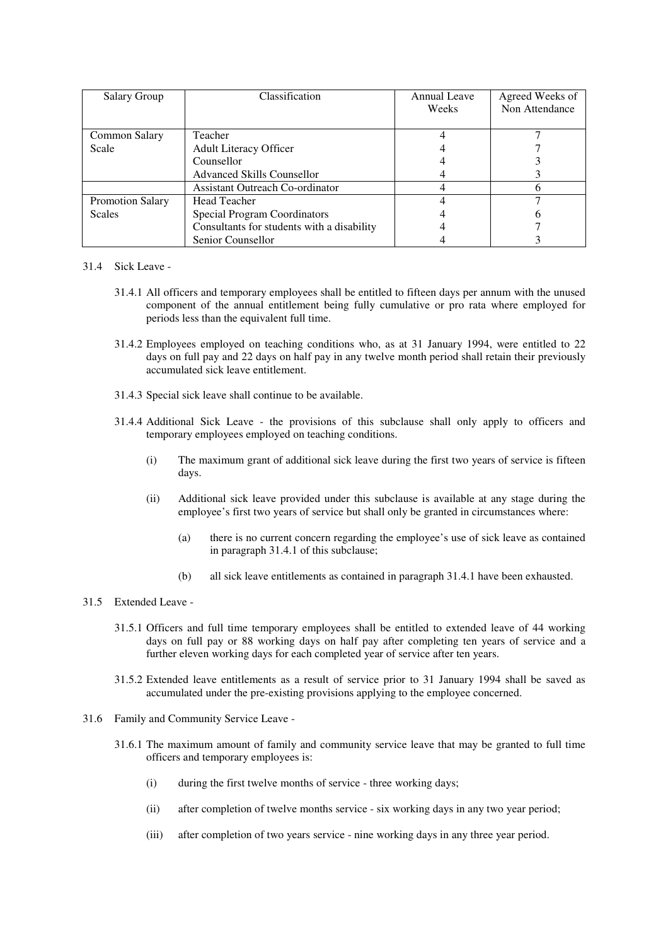| Salary Group            | Classification                             | Annual Leave | Agreed Weeks of |
|-------------------------|--------------------------------------------|--------------|-----------------|
|                         |                                            | Weeks        | Non Attendance  |
|                         |                                            |              |                 |
| Common Salary           | Teacher                                    |              |                 |
| Scale                   | <b>Adult Literacy Officer</b>              |              |                 |
|                         | Counsellor                                 |              |                 |
|                         | <b>Advanced Skills Counsellor</b>          |              |                 |
|                         | Assistant Outreach Co-ordinator            |              |                 |
| <b>Promotion Salary</b> | <b>Head Teacher</b>                        |              |                 |
| <b>Scales</b>           | Special Program Coordinators               |              |                 |
|                         | Consultants for students with a disability |              |                 |
|                         | Senior Counsellor                          |              |                 |

# 31.4 Sick Leave -

- 31.4.1 All officers and temporary employees shall be entitled to fifteen days per annum with the unused component of the annual entitlement being fully cumulative or pro rata where employed for periods less than the equivalent full time.
- 31.4.2 Employees employed on teaching conditions who, as at 31 January 1994, were entitled to 22 days on full pay and 22 days on half pay in any twelve month period shall retain their previously accumulated sick leave entitlement.
- 31.4.3 Special sick leave shall continue to be available.
- 31.4.4 Additional Sick Leave the provisions of this subclause shall only apply to officers and temporary employees employed on teaching conditions.
	- (i) The maximum grant of additional sick leave during the first two years of service is fifteen days.
	- (ii) Additional sick leave provided under this subclause is available at any stage during the employee's first two years of service but shall only be granted in circumstances where:
		- (a) there is no current concern regarding the employee's use of sick leave as contained in paragraph 31.4.1 of this subclause;
		- (b) all sick leave entitlements as contained in paragraph 31.4.1 have been exhausted.

#### 31.5 Extended Leave -

- 31.5.1 Officers and full time temporary employees shall be entitled to extended leave of 44 working days on full pay or 88 working days on half pay after completing ten years of service and a further eleven working days for each completed year of service after ten years.
- 31.5.2 Extended leave entitlements as a result of service prior to 31 January 1994 shall be saved as accumulated under the pre-existing provisions applying to the employee concerned.
- 31.6 Family and Community Service Leave
	- 31.6.1 The maximum amount of family and community service leave that may be granted to full time officers and temporary employees is:
		- (i) during the first twelve months of service three working days;
		- (ii) after completion of twelve months service six working days in any two year period;
		- (iii) after completion of two years service nine working days in any three year period.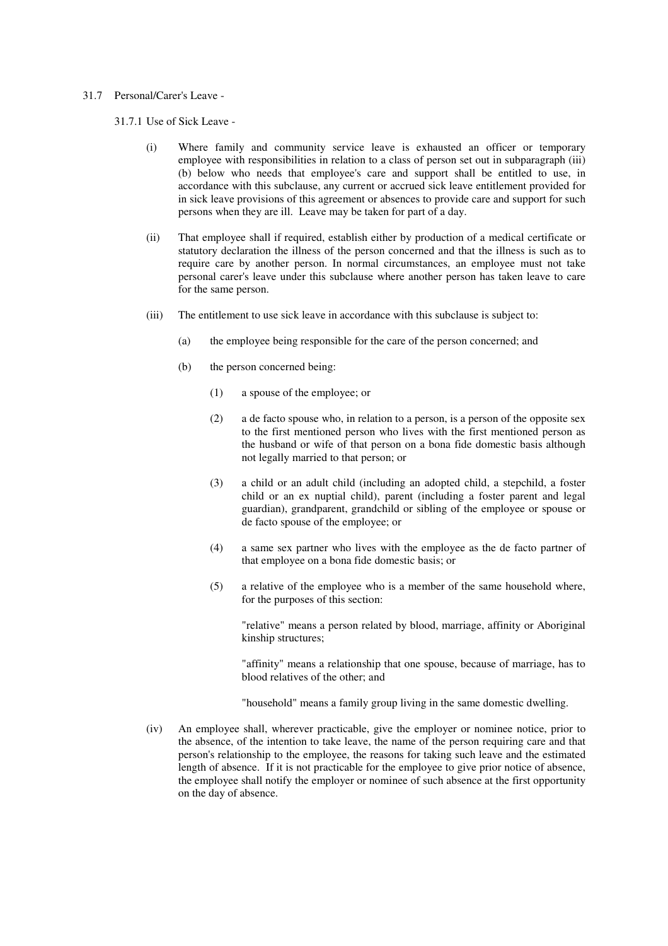# 31.7 Personal/Carer's Leave -

31.7.1 Use of Sick Leave -

- (i) Where family and community service leave is exhausted an officer or temporary employee with responsibilities in relation to a class of person set out in subparagraph (iii) (b) below who needs that employee's care and support shall be entitled to use, in accordance with this subclause, any current or accrued sick leave entitlement provided for in sick leave provisions of this agreement or absences to provide care and support for such persons when they are ill. Leave may be taken for part of a day.
- (ii) That employee shall if required, establish either by production of a medical certificate or statutory declaration the illness of the person concerned and that the illness is such as to require care by another person. In normal circumstances, an employee must not take personal carer's leave under this subclause where another person has taken leave to care for the same person.
- (iii) The entitlement to use sick leave in accordance with this subclause is subject to:
	- (a) the employee being responsible for the care of the person concerned; and
	- (b) the person concerned being:
		- (1) a spouse of the employee; or
		- (2) a de facto spouse who, in relation to a person, is a person of the opposite sex to the first mentioned person who lives with the first mentioned person as the husband or wife of that person on a bona fide domestic basis although not legally married to that person; or
		- (3) a child or an adult child (including an adopted child, a stepchild, a foster child or an ex nuptial child), parent (including a foster parent and legal guardian), grandparent, grandchild or sibling of the employee or spouse or de facto spouse of the employee; or
		- (4) a same sex partner who lives with the employee as the de facto partner of that employee on a bona fide domestic basis; or
		- (5) a relative of the employee who is a member of the same household where, for the purposes of this section:

"relative" means a person related by blood, marriage, affinity or Aboriginal kinship structures;

"affinity" means a relationship that one spouse, because of marriage, has to blood relatives of the other; and

"household" means a family group living in the same domestic dwelling.

(iv) An employee shall, wherever practicable, give the employer or nominee notice, prior to the absence, of the intention to take leave, the name of the person requiring care and that person's relationship to the employee, the reasons for taking such leave and the estimated length of absence. If it is not practicable for the employee to give prior notice of absence, the employee shall notify the employer or nominee of such absence at the first opportunity on the day of absence.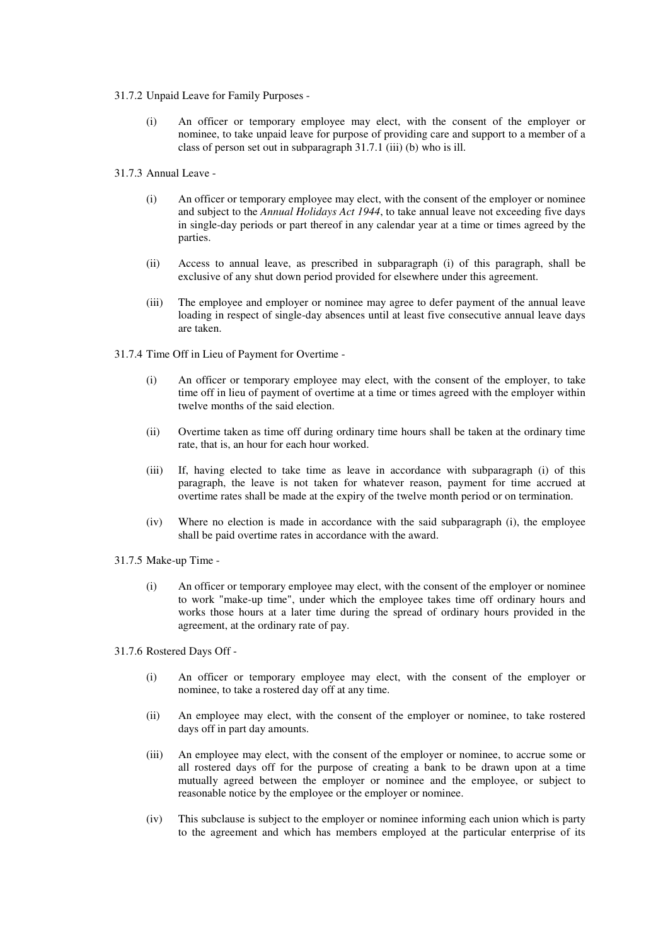- 31.7.2 Unpaid Leave for Family Purposes
	- (i) An officer or temporary employee may elect, with the consent of the employer or nominee, to take unpaid leave for purpose of providing care and support to a member of a class of person set out in subparagraph 31.7.1 (iii) (b) who is ill.
- 31.7.3 Annual Leave
	- (i) An officer or temporary employee may elect, with the consent of the employer or nominee and subject to the *Annual Holidays Act 1944*, to take annual leave not exceeding five days in single-day periods or part thereof in any calendar year at a time or times agreed by the parties.
	- (ii) Access to annual leave, as prescribed in subparagraph (i) of this paragraph, shall be exclusive of any shut down period provided for elsewhere under this agreement.
	- (iii) The employee and employer or nominee may agree to defer payment of the annual leave loading in respect of single-day absences until at least five consecutive annual leave days are taken.
- 31.7.4 Time Off in Lieu of Payment for Overtime
	- (i) An officer or temporary employee may elect, with the consent of the employer, to take time off in lieu of payment of overtime at a time or times agreed with the employer within twelve months of the said election.
	- (ii) Overtime taken as time off during ordinary time hours shall be taken at the ordinary time rate, that is, an hour for each hour worked.
	- (iii) If, having elected to take time as leave in accordance with subparagraph (i) of this paragraph, the leave is not taken for whatever reason, payment for time accrued at overtime rates shall be made at the expiry of the twelve month period or on termination.
	- (iv) Where no election is made in accordance with the said subparagraph (i), the employee shall be paid overtime rates in accordance with the award.
- 31.7.5 Make-up Time
	- (i) An officer or temporary employee may elect, with the consent of the employer or nominee to work "make-up time", under which the employee takes time off ordinary hours and works those hours at a later time during the spread of ordinary hours provided in the agreement, at the ordinary rate of pay.
- 31.7.6 Rostered Days Off
	- (i) An officer or temporary employee may elect, with the consent of the employer or nominee, to take a rostered day off at any time.
	- (ii) An employee may elect, with the consent of the employer or nominee, to take rostered days off in part day amounts.
	- (iii) An employee may elect, with the consent of the employer or nominee, to accrue some or all rostered days off for the purpose of creating a bank to be drawn upon at a time mutually agreed between the employer or nominee and the employee, or subject to reasonable notice by the employee or the employer or nominee.
	- (iv) This subclause is subject to the employer or nominee informing each union which is party to the agreement and which has members employed at the particular enterprise of its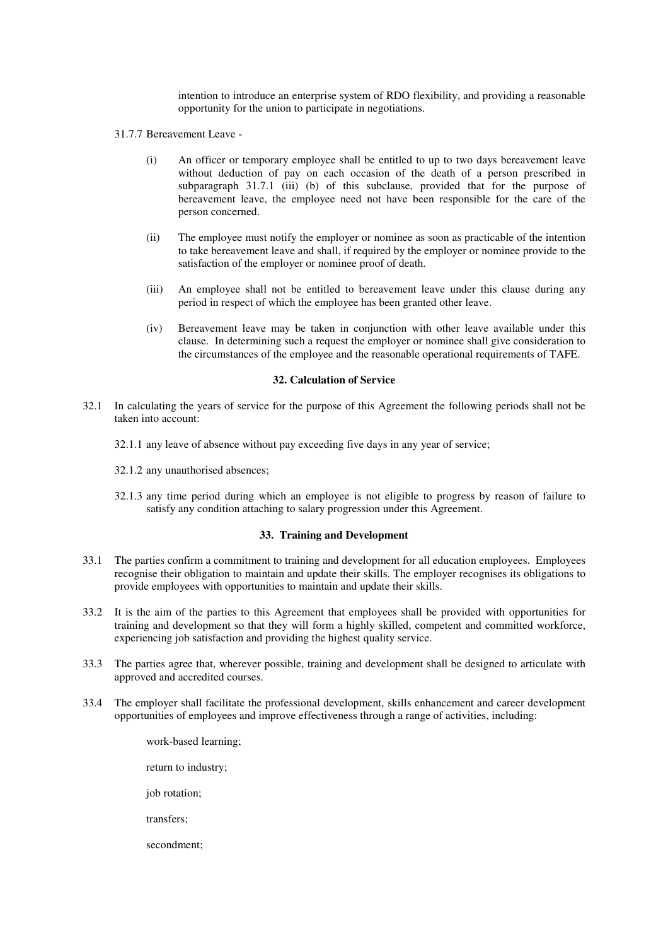intention to introduce an enterprise system of RDO flexibility, and providing a reasonable opportunity for the union to participate in negotiations.

- 31.7.7 Bereavement Leave
	- (i) An officer or temporary employee shall be entitled to up to two days bereavement leave without deduction of pay on each occasion of the death of a person prescribed in subparagraph 31.7.1 (iii) (b) of this subclause, provided that for the purpose of bereavement leave, the employee need not have been responsible for the care of the person concerned.
	- (ii) The employee must notify the employer or nominee as soon as practicable of the intention to take bereavement leave and shall, if required by the employer or nominee provide to the satisfaction of the employer or nominee proof of death.
	- (iii) An employee shall not be entitled to bereavement leave under this clause during any period in respect of which the employee has been granted other leave.
	- (iv) Bereavement leave may be taken in conjunction with other leave available under this clause. In determining such a request the employer or nominee shall give consideration to the circumstances of the employee and the reasonable operational requirements of TAFE.

### **32. Calculation of Service**

- 32.1 In calculating the years of service for the purpose of this Agreement the following periods shall not be taken into account:
	- 32.1.1 any leave of absence without pay exceeding five days in any year of service;
	- 32.1.2 any unauthorised absences;
	- 32.1.3 any time period during which an employee is not eligible to progress by reason of failure to satisfy any condition attaching to salary progression under this Agreement.

#### **33. Training and Development**

- 33.1 The parties confirm a commitment to training and development for all education employees. Employees recognise their obligation to maintain and update their skills. The employer recognises its obligations to provide employees with opportunities to maintain and update their skills.
- 33.2 It is the aim of the parties to this Agreement that employees shall be provided with opportunities for training and development so that they will form a highly skilled, competent and committed workforce, experiencing job satisfaction and providing the highest quality service.
- 33.3 The parties agree that, wherever possible, training and development shall be designed to articulate with approved and accredited courses.
- 33.4 The employer shall facilitate the professional development, skills enhancement and career development opportunities of employees and improve effectiveness through a range of activities, including:
	- work-based learning; return to industry; job rotation; transfers; secondment;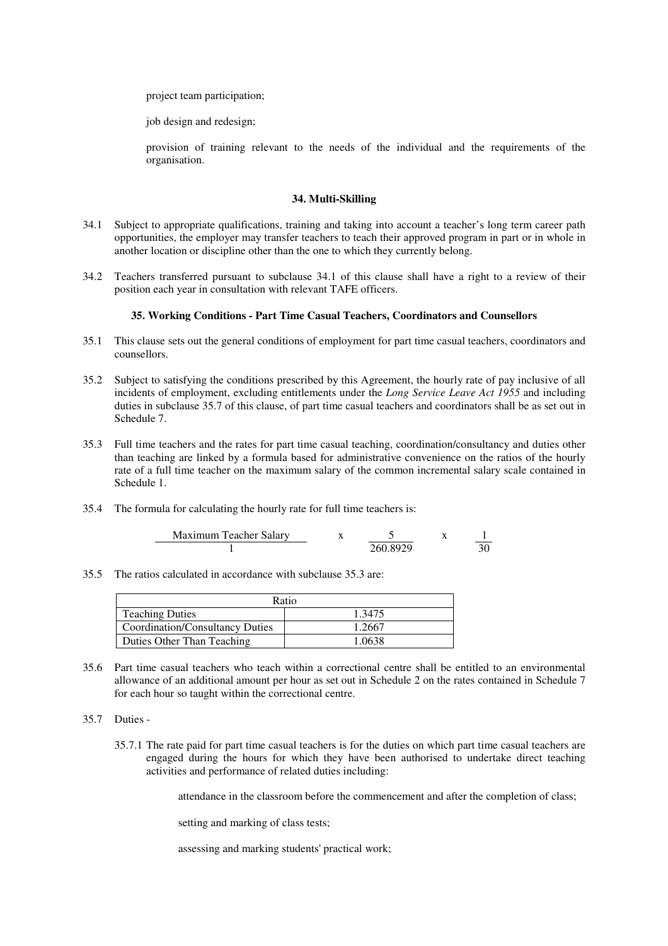project team participation;

job design and redesign;

provision of training relevant to the needs of the individual and the requirements of the organisation.

## **34. Multi-Skilling**

- 34.1 Subject to appropriate qualifications, training and taking into account a teacher's long term career path opportunities, the employer may transfer teachers to teach their approved program in part or in whole in another location or discipline other than the one to which they currently belong.
- 34.2 Teachers transferred pursuant to subclause 34.1 of this clause shall have a right to a review of their position each year in consultation with relevant TAFE officers.

## **35. Working Conditions - Part Time Casual Teachers, Coordinators and Counsellors**

- 35.1 This clause sets out the general conditions of employment for part time casual teachers, coordinators and counsellors.
- 35.2 Subject to satisfying the conditions prescribed by this Agreement, the hourly rate of pay inclusive of all incidents of employment, excluding entitlements under the *Long Service Leave Act 1955* and including duties in subclause 35.7 of this clause, of part time casual teachers and coordinators shall be as set out in Schedule 7.
- 35.3 Full time teachers and the rates for part time casual teaching, coordination/consultancy and duties other than teaching are linked by a formula based for administrative convenience on the ratios of the hourly rate of a full time teacher on the maximum salary of the common incremental salary scale contained in Schedule 1.
- 35.4 The formula for calculating the hourly rate for full time teachers is:

| Maximum Teacher Salary |           |  |
|------------------------|-----------|--|
|                        | 260 8929. |  |

35.5 The ratios calculated in accordance with subclause 35.3 are:

| Ratio                           |        |  |  |  |
|---------------------------------|--------|--|--|--|
| <b>Teaching Duties</b>          | 1.3475 |  |  |  |
| Coordination/Consultancy Duties | 1.2667 |  |  |  |
| Duties Other Than Teaching      | 1 0638 |  |  |  |

- 35.6 Part time casual teachers who teach within a correctional centre shall be entitled to an environmental allowance of an additional amount per hour as set out in Schedule 2 on the rates contained in Schedule 7 for each hour so taught within the correctional centre.
- 35.7 Duties
	- 35.7.1 The rate paid for part time casual teachers is for the duties on which part time casual teachers are engaged during the hours for which they have been authorised to undertake direct teaching activities and performance of related duties including:

attendance in the classroom before the commencement and after the completion of class;

setting and marking of class tests;

assessing and marking students'practical work;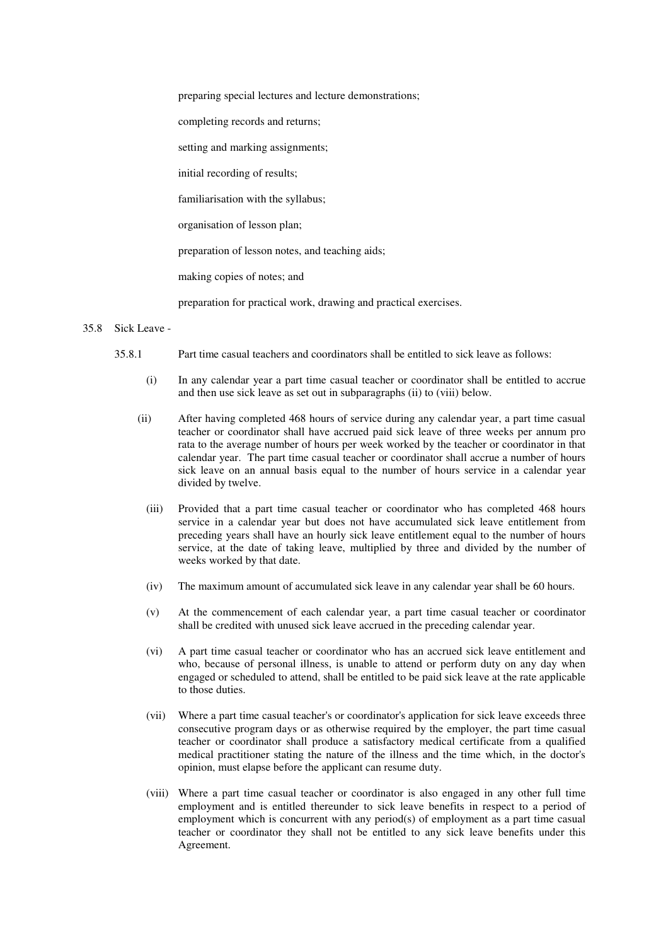preparing special lectures and lecture demonstrations;

completing records and returns;

setting and marking assignments;

initial recording of results;

familiarisation with the syllabus;

organisation of lesson plan;

preparation of lesson notes, and teaching aids;

making copies of notes; and

preparation for practical work, drawing and practical exercises.

#### 35.8 Sick Leave -

- 35.8.1 Part time casual teachers and coordinators shall be entitled to sick leave as follows:
	- (i) In any calendar year a part time casual teacher or coordinator shall be entitled to accrue and then use sick leave as set out in subparagraphs (ii) to (viii) below.
	- (ii) After having completed 468 hours of service during any calendar year, a part time casual teacher or coordinator shall have accrued paid sick leave of three weeks per annum pro rata to the average number of hours per week worked by the teacher or coordinator in that calendar year. The part time casual teacher or coordinator shall accrue a number of hours sick leave on an annual basis equal to the number of hours service in a calendar year divided by twelve.
		- (iii) Provided that a part time casual teacher or coordinator who has completed 468 hours service in a calendar year but does not have accumulated sick leave entitlement from preceding years shall have an hourly sick leave entitlement equal to the number of hours service, at the date of taking leave, multiplied by three and divided by the number of weeks worked by that date.
		- (iv) The maximum amount of accumulated sick leave in any calendar year shall be 60 hours.
		- (v) At the commencement of each calendar year, a part time casual teacher or coordinator shall be credited with unused sick leave accrued in the preceding calendar year.
		- (vi) A part time casual teacher or coordinator who has an accrued sick leave entitlement and who, because of personal illness, is unable to attend or perform duty on any day when engaged or scheduled to attend, shall be entitled to be paid sick leave at the rate applicable to those duties.
		- (vii) Where a part time casual teacher's or coordinator's application for sick leave exceeds three consecutive program days or as otherwise required by the employer, the part time casual teacher or coordinator shall produce a satisfactory medical certificate from a qualified medical practitioner stating the nature of the illness and the time which, in the doctor's opinion, must elapse before the applicant can resume duty.
		- (viii) Where a part time casual teacher or coordinator is also engaged in any other full time employment and is entitled thereunder to sick leave benefits in respect to a period of employment which is concurrent with any period(s) of employment as a part time casual teacher or coordinator they shall not be entitled to any sick leave benefits under this Agreement.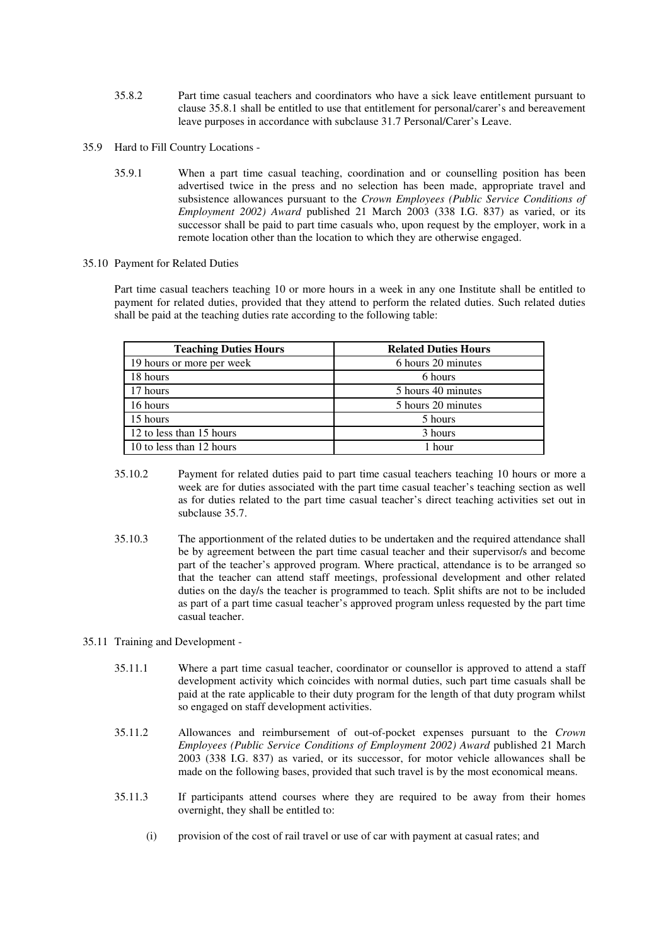- 35.8.2 Part time casual teachers and coordinators who have a sick leave entitlement pursuant to clause 35.8.1 shall be entitled to use that entitlement for personal/carer's and bereavement leave purposes in accordance with subclause 31.7 Personal/Carer's Leave.
- 35.9 Hard to Fill Country Locations
	- 35.9.1 When a part time casual teaching, coordination and or counselling position has been advertised twice in the press and no selection has been made, appropriate travel and subsistence allowances pursuant to the *Crown Employees (Public Service Conditions of Employment 2002) Award* published 21 March 2003 (338 I.G. 837) as varied, or its successor shall be paid to part time casuals who, upon request by the employer, work in a remote location other than the location to which they are otherwise engaged.
- 35.10 Payment for Related Duties

Part time casual teachers teaching 10 or more hours in a week in any one Institute shall be entitled to payment for related duties, provided that they attend to perform the related duties. Such related duties shall be paid at the teaching duties rate according to the following table:

| <b>Teaching Duties Hours</b> | <b>Related Duties Hours</b> |
|------------------------------|-----------------------------|
| 19 hours or more per week    | 6 hours 20 minutes          |
| 18 hours                     | 6 hours                     |
| 17 hours                     | 5 hours 40 minutes          |
| 16 hours                     | 5 hours 20 minutes          |
| 15 hours                     | 5 hours                     |
| 12 to less than 15 hours     | 3 hours                     |
| 10 to less than 12 hours     | 1 hour                      |

- 35.10.2 Payment for related duties paid to part time casual teachers teaching 10 hours or more a week are for duties associated with the part time casual teacher's teaching section as well as for duties related to the part time casual teacher's direct teaching activities set out in subclause 35.7.
- 35.10.3 The apportionment of the related duties to be undertaken and the required attendance shall be by agreement between the part time casual teacher and their supervisor/s and become part of the teacher's approved program. Where practical, attendance is to be arranged so that the teacher can attend staff meetings, professional development and other related duties on the day/s the teacher is programmed to teach. Split shifts are not to be included as part of a part time casual teacher's approved program unless requested by the part time casual teacher.

#### 35.11 Training and Development -

- 35.11.1 Where a part time casual teacher, coordinator or counsellor is approved to attend a staff development activity which coincides with normal duties, such part time casuals shall be paid at the rate applicable to their duty program for the length of that duty program whilst so engaged on staff development activities.
- 35.11.2 Allowances and reimbursement of out-of-pocket expenses pursuant to the *Crown Employees (Public Service Conditions of Employment 2002) Award* published 21 March 2003 (338 I.G. 837) as varied, or its successor, for motor vehicle allowances shall be made on the following bases, provided that such travel is by the most economical means.
- 35.11.3 If participants attend courses where they are required to be away from their homes overnight, they shall be entitled to:
	- (i) provision of the cost of rail travel or use of car with payment at casual rates; and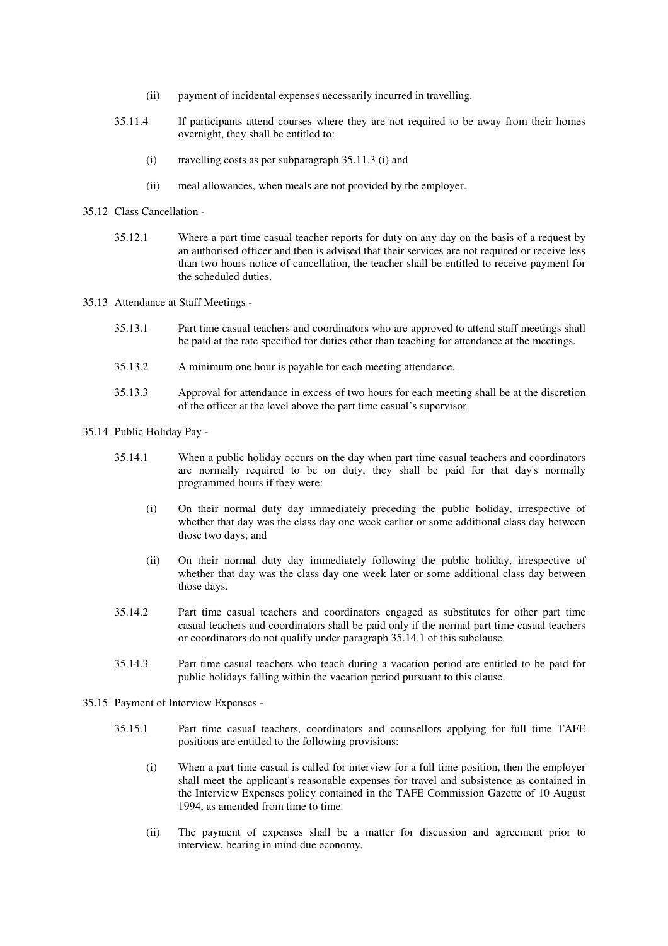- (ii) payment of incidental expenses necessarily incurred in travelling.
- 35.11.4 If participants attend courses where they are not required to be away from their homes overnight, they shall be entitled to:
	- (i) travelling costs as per subparagraph 35.11.3 (i) and
	- (ii) meal allowances, when meals are not provided by the employer.
- 35.12 Class Cancellation
	- 35.12.1 Where a part time casual teacher reports for duty on any day on the basis of a request by an authorised officer and then is advised that their services are not required or receive less than two hours notice of cancellation, the teacher shall be entitled to receive payment for the scheduled duties.
- 35.13 Attendance at Staff Meetings
	- 35.13.1 Part time casual teachers and coordinators who are approved to attend staff meetings shall be paid at the rate specified for duties other than teaching for attendance at the meetings.
	- 35.13.2 A minimum one hour is payable for each meeting attendance.
	- 35.13.3 Approval for attendance in excess of two hours for each meeting shall be at the discretion of the officer at the level above the part time casual's supervisor.
- 35.14 Public Holiday Pay
	- 35.14.1 When a public holiday occurs on the day when part time casual teachers and coordinators are normally required to be on duty, they shall be paid for that day's normally programmed hours if they were:
		- (i) On their normal duty day immediately preceding the public holiday, irrespective of whether that day was the class day one week earlier or some additional class day between those two days; and
		- (ii) On their normal duty day immediately following the public holiday, irrespective of whether that day was the class day one week later or some additional class day between those days.
	- 35.14.2 Part time casual teachers and coordinators engaged as substitutes for other part time casual teachers and coordinators shall be paid only if the normal part time casual teachers or coordinators do not qualify under paragraph 35.14.1 of this subclause.
	- 35.14.3 Part time casual teachers who teach during a vacation period are entitled to be paid for public holidays falling within the vacation period pursuant to this clause.
- 35.15 Payment of Interview Expenses
	- 35.15.1 Part time casual teachers, coordinators and counsellors applying for full time TAFE positions are entitled to the following provisions:
		- (i) When a part time casual is called for interview for a full time position, then the employer shall meet the applicant's reasonable expenses for travel and subsistence as contained in the Interview Expenses policy contained in the TAFE Commission Gazette of 10 August 1994, as amended from time to time.
		- (ii) The payment of expenses shall be a matter for discussion and agreement prior to interview, bearing in mind due economy.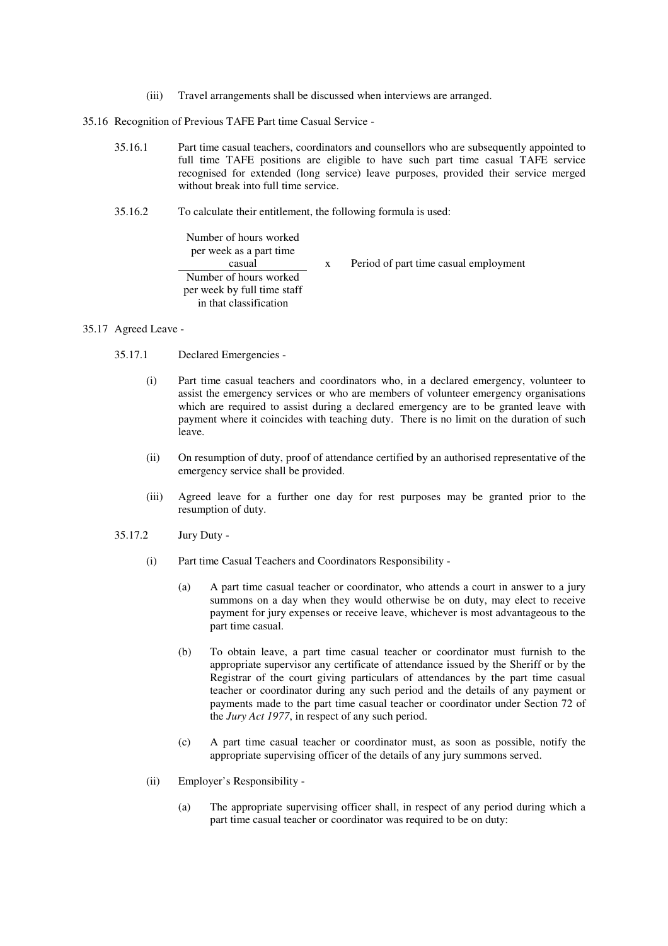(iii) Travel arrangements shall be discussed when interviews are arranged.

35.16 Recognition of Previous TAFE Part time Casual Service -

- 35.16.1 Part time casual teachers, coordinators and counsellors who are subsequently appointed to full time TAFE positions are eligible to have such part time casual TAFE service recognised for extended (long service) leave purposes, provided their service merged without break into full time service.
- 35.16.2 To calculate their entitlement, the following formula is used:

Number of hours worked per week as a part time casual x Period of part time casual employment Number of hours worked per week by full time staff in that classification

- 35.17 Agreed Leave
	- 35.17.1 Declared Emergencies
		- (i) Part time casual teachers and coordinators who, in a declared emergency, volunteer to assist the emergency services or who are members of volunteer emergency organisations which are required to assist during a declared emergency are to be granted leave with payment where it coincides with teaching duty. There is no limit on the duration of such leave.
		- (ii) On resumption of duty, proof of attendance certified by an authorised representative of the emergency service shall be provided.
		- (iii) Agreed leave for a further one day for rest purposes may be granted prior to the resumption of duty.
	- 35.17.2 Jury Duty
		- (i) Part time Casual Teachers and Coordinators Responsibility
			- (a) A part time casual teacher or coordinator, who attends a court in answer to a jury summons on a day when they would otherwise be on duty, may elect to receive payment for jury expenses or receive leave, whichever is most advantageous to the part time casual.
			- (b) To obtain leave, a part time casual teacher or coordinator must furnish to the appropriate supervisor any certificate of attendance issued by the Sheriff or by the Registrar of the court giving particulars of attendances by the part time casual teacher or coordinator during any such period and the details of any payment or payments made to the part time casual teacher or coordinator under Section 72 of the *Jury Act 1977*, in respect of any such period.
			- (c) A part time casual teacher or coordinator must, as soon as possible, notify the appropriate supervising officer of the details of any jury summons served.
		- (ii) Employer's Responsibility
			- (a) The appropriate supervising officer shall, in respect of any period during which a part time casual teacher or coordinator was required to be on duty: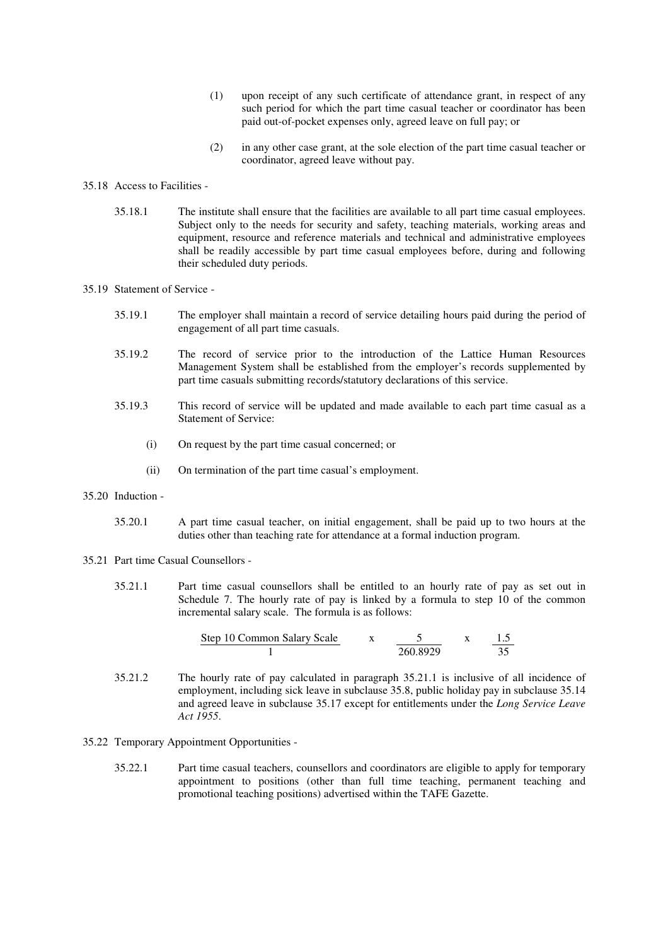- (1) upon receipt of any such certificate of attendance grant, in respect of any such period for which the part time casual teacher or coordinator has been paid out-of-pocket expenses only, agreed leave on full pay; or
- (2) in any other case grant, at the sole election of the part time casual teacher or coordinator, agreed leave without pay.

#### 35.18 Access to Facilities -

35.18.1 The institute shall ensure that the facilities are available to all part time casual employees. Subject only to the needs for security and safety, teaching materials, working areas and equipment, resource and reference materials and technical and administrative employees shall be readily accessible by part time casual employees before, during and following their scheduled duty periods.

#### 35.19 Statement of Service -

- 35.19.1 The employer shall maintain a record of service detailing hours paid during the period of engagement of all part time casuals.
- 35.19.2 The record of service prior to the introduction of the Lattice Human Resources Management System shall be established from the employer's records supplemented by part time casuals submitting records/statutory declarations of this service.
- 35.19.3 This record of service will be updated and made available to each part time casual as a Statement of Service:
	- (i) On request by the part time casual concerned; or
	- (ii) On termination of the part time casual's employment.
- 35.20 Induction
	- 35.20.1 A part time casual teacher, on initial engagement, shall be paid up to two hours at the duties other than teaching rate for attendance at a formal induction program.
- 35.21 Part time Casual Counsellors
	- 35.21.1 Part time casual counsellors shall be entitled to an hourly rate of pay as set out in Schedule 7. The hourly rate of pay is linked by a formula to step 10 of the common incremental salary scale. The formula is as follows:

Step 10 Common Salary Scale x 5 x 1.5 1 260.8929 35

- 35.21.2 The hourly rate of pay calculated in paragraph 35.21.1 is inclusive of all incidence of employment, including sick leave in subclause 35.8, public holiday pay in subclause 35.14 and agreed leave in subclause 35.17 except for entitlements under the *Long Service Leave Act 1955*.
- 35.22 Temporary Appointment Opportunities
	- 35.22.1 Part time casual teachers, counsellors and coordinators are eligible to apply for temporary appointment to positions (other than full time teaching, permanent teaching and promotional teaching positions) advertised within the TAFE Gazette.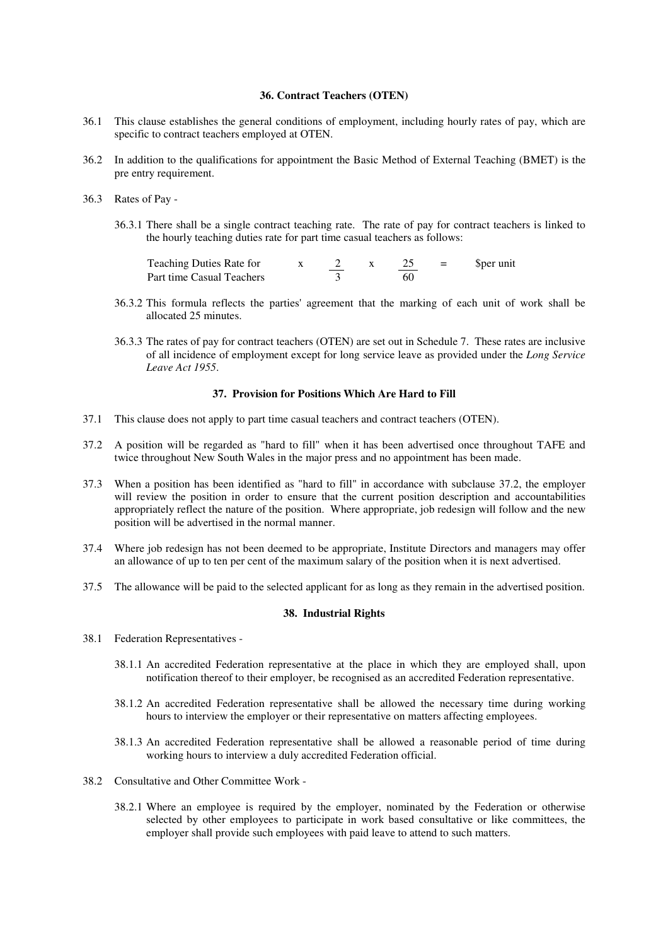# **36. Contract Teachers (OTEN)**

- 36.1 This clause establishes the general conditions of employment, including hourly rates of pay, which are specific to contract teachers employed at OTEN.
- 36.2 In addition to the qualifications for appointment the Basic Method of External Teaching (BMET) is the pre entry requirement.
- 36.3 Rates of Pay
	- 36.3.1 There shall be a single contract teaching rate. The rate of pay for contract teachers is linked to the hourly teaching duties rate for part time casual teachers as follows:

| Teaching Duties Rate for  |  |    | - | Sper unit |
|---------------------------|--|----|---|-----------|
| Part time Casual Teachers |  | 60 |   |           |

- 36.3.2 This formula reflects the parties'agreement that the marking of each unit of work shall be allocated 25 minutes.
- 36.3.3 The rates of pay for contract teachers (OTEN) are set out in Schedule 7. These rates are inclusive of all incidence of employment except for long service leave as provided under the *Long Service Leave Act 1955*.

#### **37. Provision for Positions Which Are Hard to Fill**

- 37.1 This clause does not apply to part time casual teachers and contract teachers (OTEN).
- 37.2 A position will be regarded as "hard to fill" when it has been advertised once throughout TAFE and twice throughout New South Wales in the major press and no appointment has been made.
- 37.3 When a position has been identified as "hard to fill" in accordance with subclause 37.2, the employer will review the position in order to ensure that the current position description and accountabilities appropriately reflect the nature of the position. Where appropriate, job redesign will follow and the new position will be advertised in the normal manner.
- 37.4 Where job redesign has not been deemed to be appropriate, Institute Directors and managers may offer an allowance of up to ten per cent of the maximum salary of the position when it is next advertised.
- 37.5 The allowance will be paid to the selected applicant for as long as they remain in the advertised position.

## **38. Industrial Rights**

- 38.1 Federation Representatives
	- 38.1.1 An accredited Federation representative at the place in which they are employed shall, upon notification thereof to their employer, be recognised as an accredited Federation representative.
	- 38.1.2 An accredited Federation representative shall be allowed the necessary time during working hours to interview the employer or their representative on matters affecting employees.
	- 38.1.3 An accredited Federation representative shall be allowed a reasonable period of time during working hours to interview a duly accredited Federation official.
- 38.2 Consultative and Other Committee Work
	- 38.2.1 Where an employee is required by the employer, nominated by the Federation or otherwise selected by other employees to participate in work based consultative or like committees, the employer shall provide such employees with paid leave to attend to such matters.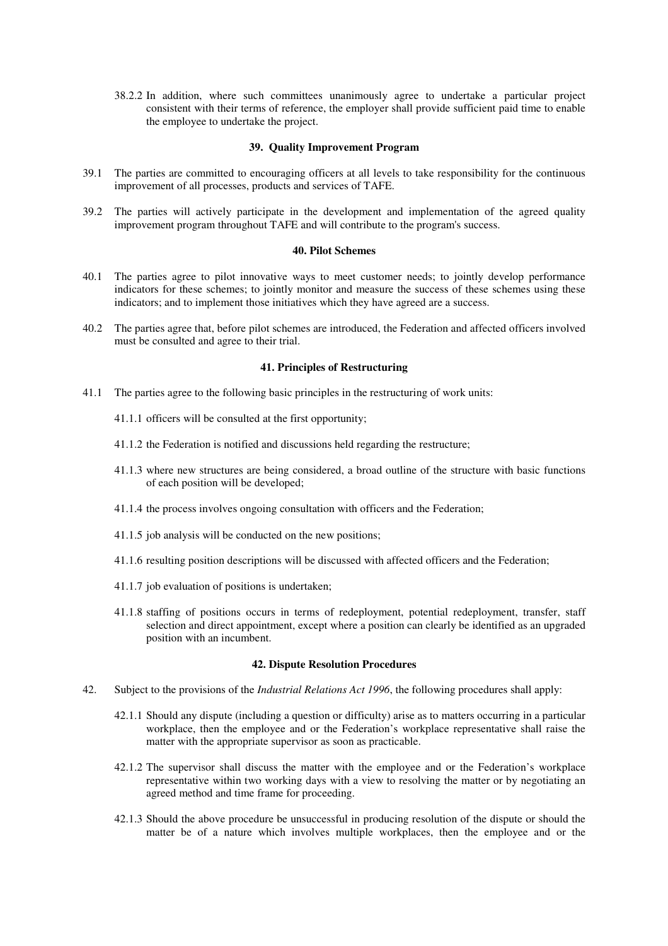38.2.2 In addition, where such committees unanimously agree to undertake a particular project consistent with their terms of reference, the employer shall provide sufficient paid time to enable the employee to undertake the project.

#### **39. Quality Improvement Program**

- 39.1 The parties are committed to encouraging officers at all levels to take responsibility for the continuous improvement of all processes, products and services of TAFE.
- 39.2 The parties will actively participate in the development and implementation of the agreed quality improvement program throughout TAFE and will contribute to the program's success.

#### **40. Pilot Schemes**

- 40.1 The parties agree to pilot innovative ways to meet customer needs; to jointly develop performance indicators for these schemes; to jointly monitor and measure the success of these schemes using these indicators; and to implement those initiatives which they have agreed are a success.
- 40.2 The parties agree that, before pilot schemes are introduced, the Federation and affected officers involved must be consulted and agree to their trial.

## **41. Principles of Restructuring**

- 41.1 The parties agree to the following basic principles in the restructuring of work units:
	- 41.1.1 officers will be consulted at the first opportunity;
	- 41.1.2 the Federation is notified and discussions held regarding the restructure;
	- 41.1.3 where new structures are being considered, a broad outline of the structure with basic functions of each position will be developed;
	- 41.1.4 the process involves ongoing consultation with officers and the Federation;
	- 41.1.5 job analysis will be conducted on the new positions;
	- 41.1.6 resulting position descriptions will be discussed with affected officers and the Federation;
	- 41.1.7 job evaluation of positions is undertaken;
	- 41.1.8 staffing of positions occurs in terms of redeployment, potential redeployment, transfer, staff selection and direct appointment, except where a position can clearly be identified as an upgraded position with an incumbent.

#### **42. Dispute Resolution Procedures**

- 42. Subject to the provisions of the *Industrial Relations Act 1996*, the following procedures shall apply:
	- 42.1.1 Should any dispute (including a question or difficulty) arise as to matters occurring in a particular workplace, then the employee and or the Federation's workplace representative shall raise the matter with the appropriate supervisor as soon as practicable.
	- 42.1.2 The supervisor shall discuss the matter with the employee and or the Federation's workplace representative within two working days with a view to resolving the matter or by negotiating an agreed method and time frame for proceeding.
	- 42.1.3 Should the above procedure be unsuccessful in producing resolution of the dispute or should the matter be of a nature which involves multiple workplaces, then the employee and or the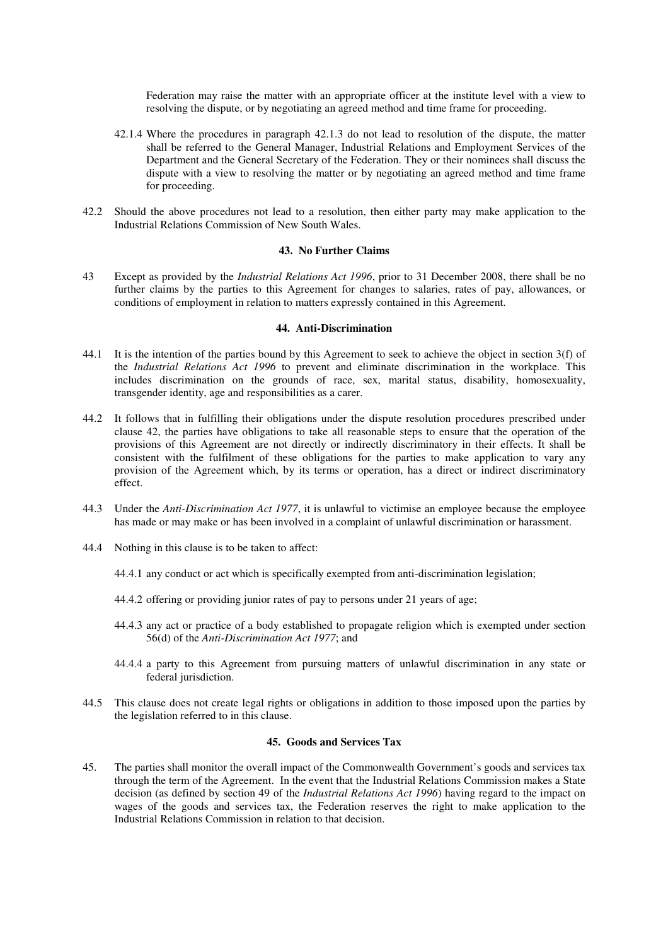Federation may raise the matter with an appropriate officer at the institute level with a view to resolving the dispute, or by negotiating an agreed method and time frame for proceeding.

- 42.1.4 Where the procedures in paragraph 42.1.3 do not lead to resolution of the dispute, the matter shall be referred to the General Manager, Industrial Relations and Employment Services of the Department and the General Secretary of the Federation. They or their nominees shall discuss the dispute with a view to resolving the matter or by negotiating an agreed method and time frame for proceeding.
- 42.2 Should the above procedures not lead to a resolution, then either party may make application to the Industrial Relations Commission of New South Wales.

#### **43. No Further Claims**

43 Except as provided by the *Industrial Relations Act 1996*, prior to 31 December 2008, there shall be no further claims by the parties to this Agreement for changes to salaries, rates of pay, allowances, or conditions of employment in relation to matters expressly contained in this Agreement.

#### **44. Anti-Discrimination**

- 44.1 It is the intention of the parties bound by this Agreement to seek to achieve the object in section 3(f) of the *Industrial Relations Act 1996* to prevent and eliminate discrimination in the workplace. This includes discrimination on the grounds of race, sex, marital status, disability, homosexuality, transgender identity, age and responsibilities as a carer.
- 44.2 It follows that in fulfilling their obligations under the dispute resolution procedures prescribed under clause 42, the parties have obligations to take all reasonable steps to ensure that the operation of the provisions of this Agreement are not directly or indirectly discriminatory in their effects. It shall be consistent with the fulfilment of these obligations for the parties to make application to vary any provision of the Agreement which, by its terms or operation, has a direct or indirect discriminatory effect.
- 44.3 Under the *Anti-Discrimination Act 1977*, it is unlawful to victimise an employee because the employee has made or may make or has been involved in a complaint of unlawful discrimination or harassment.
- 44.4 Nothing in this clause is to be taken to affect:
	- 44.4.1 any conduct or act which is specifically exempted from anti-discrimination legislation;
	- 44.4.2 offering or providing junior rates of pay to persons under 21 years of age;
	- 44.4.3 any act or practice of a body established to propagate religion which is exempted under section 56(d) of the *Anti-Discrimination Act 1977*; and
	- 44.4.4 a party to this Agreement from pursuing matters of unlawful discrimination in any state or federal jurisdiction.
- 44.5 This clause does not create legal rights or obligations in addition to those imposed upon the parties by the legislation referred to in this clause.

## **45. Goods and Services Tax**

45. The parties shall monitor the overall impact of the Commonwealth Government's goods and services tax through the term of the Agreement. In the event that the Industrial Relations Commission makes a State decision (as defined by section 49 of the *Industrial Relations Act 1996*) having regard to the impact on wages of the goods and services tax, the Federation reserves the right to make application to the Industrial Relations Commission in relation to that decision.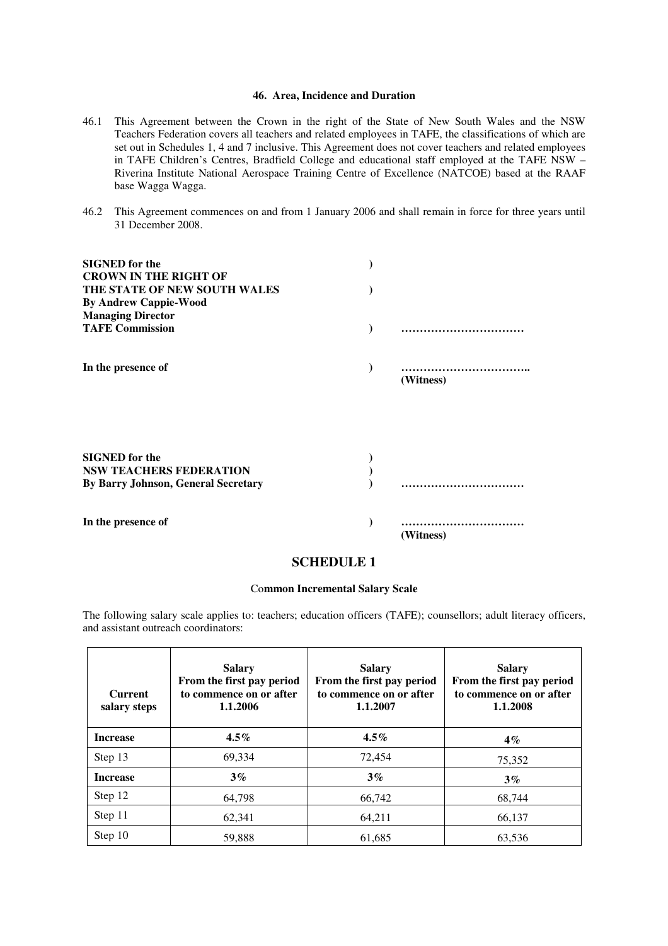# **46. Area, Incidence and Duration**

- 46.1 This Agreement between the Crown in the right of the State of New South Wales and the NSW Teachers Federation covers all teachers and related employees in TAFE, the classifications of which are set out in Schedules 1, 4 and 7 inclusive. This Agreement does not cover teachers and related employees in TAFE Children's Centres, Bradfield College and educational staff employed at the TAFE NSW – Riverina Institute National Aerospace Training Centre of Excellence (NATCOE) based at the RAAF base Wagga Wagga.
- 46.2 This Agreement commences on and from 1 January 2006 and shall remain in force for three years until 31 December 2008.

| <b>SIGNED</b> for the<br><b>CROWN IN THE RIGHT OF</b><br>THE STATE OF NEW SOUTH WALES<br><b>By Andrew Cappie-Wood</b><br><b>Managing Director</b> |           |
|---------------------------------------------------------------------------------------------------------------------------------------------------|-----------|
| <b>TAFE Commission</b>                                                                                                                            |           |
| In the presence of                                                                                                                                | (Witness) |
| <b>SIGNED</b> for the<br><b>NSW TEACHERS FEDERATION</b><br><b>By Barry Johnson, General Secretary</b>                                             |           |
| In the presence of                                                                                                                                | (Witness) |

# **SCHEDULE 1**

#### Co**mmon Incremental Salary Scale**

The following salary scale applies to: teachers; education officers (TAFE); counsellors; adult literacy officers, and assistant outreach coordinators:

| <b>Current</b><br>salary steps | <b>Salary</b><br>From the first pay period<br>to commence on or after<br>1.1.2006 | <b>Salary</b><br>From the first pay period<br>to commence on or after<br>1.1.2007 | <b>Salary</b><br>From the first pay period<br>to commence on or after<br>1.1.2008 |
|--------------------------------|-----------------------------------------------------------------------------------|-----------------------------------------------------------------------------------|-----------------------------------------------------------------------------------|
| <b>Increase</b>                | $4.5\%$                                                                           | $4.5\%$                                                                           | $4\%$                                                                             |
| Step 13                        | 69,334                                                                            | 72,454                                                                            | 75,352                                                                            |
| <b>Increase</b>                | $3\%$                                                                             | $3\%$                                                                             | $3\%$                                                                             |
| Step 12                        | 64.798                                                                            | 66,742                                                                            | 68,744                                                                            |
| Step 11                        | 62,341                                                                            | 64,211                                                                            | 66,137                                                                            |
| Step 10                        | 59,888                                                                            | 61,685                                                                            | 63,536                                                                            |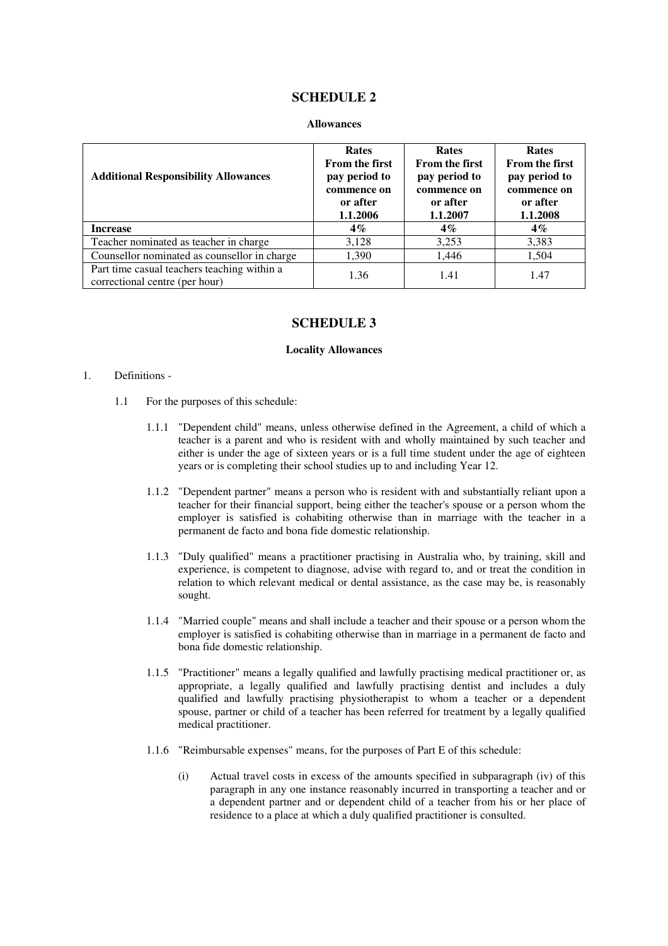# **SCHEDULE 2**

#### **Allowances**

| <b>Additional Responsibility Allowances</b>                                   | <b>Rates</b><br><b>From the first</b><br>pay period to<br>commence on<br>or after<br>1.1.2006 | <b>Rates</b><br><b>From the first</b><br>pay period to<br>commence on<br>or after<br>1.1.2007 | <b>Rates</b><br><b>From the first</b><br>pay period to<br>commence on<br>or after<br>1.1.2008 |
|-------------------------------------------------------------------------------|-----------------------------------------------------------------------------------------------|-----------------------------------------------------------------------------------------------|-----------------------------------------------------------------------------------------------|
| <b>Increase</b>                                                               | $4\%$                                                                                         | $4\%$                                                                                         | $4\%$                                                                                         |
| Teacher nominated as teacher in charge                                        | 3,128                                                                                         | 3,253                                                                                         | 3,383                                                                                         |
| Counsellor nominated as counsellor in charge                                  | 1,390                                                                                         | 1,446                                                                                         | 1,504                                                                                         |
| Part time casual teachers teaching within a<br>correctional centre (per hour) | 1.36                                                                                          | 1.41                                                                                          | 1.47                                                                                          |

# **SCHEDULE 3**

#### **Locality Allowances**

#### 1. Definitions -

- 1.1 For the purposes of this schedule:
	- 1.1.1 "Dependent child" means, unless otherwise defined in the Agreement, a child of which a teacher is a parent and who is resident with and wholly maintained by such teacher and either is under the age of sixteen years or is a full time student under the age of eighteen years or is completing their school studies up to and including Year 12.
	- 1.1.2 "Dependent partner" means a person who is resident with and substantially reliant upon a teacher for their financial support, being either the teacher's spouse or a person whom the employer is satisfied is cohabiting otherwise than in marriage with the teacher in a permanent de facto and bona fide domestic relationship.
	- 1.1.3 "Duly qualified" means a practitioner practising in Australia who, by training, skill and experience, is competent to diagnose, advise with regard to, and or treat the condition in relation to which relevant medical or dental assistance, as the case may be, is reasonably sought.
	- 1.1.4 "Married couple" means and shall include a teacher and their spouse or a person whom the employer is satisfied is cohabiting otherwise than in marriage in a permanent de facto and bona fide domestic relationship.
	- 1.1.5 "Practitioner" means a legally qualified and lawfully practising medical practitioner or, as appropriate, a legally qualified and lawfully practising dentist and includes a duly qualified and lawfully practising physiotherapist to whom a teacher or a dependent spouse, partner or child of a teacher has been referred for treatment by a legally qualified medical practitioner.
	- 1.1.6 "Reimbursable expenses" means, for the purposes of Part E of this schedule:
		- (i) Actual travel costs in excess of the amounts specified in subparagraph (iv) of this paragraph in any one instance reasonably incurred in transporting a teacher and or a dependent partner and or dependent child of a teacher from his or her place of residence to a place at which a duly qualified practitioner is consulted.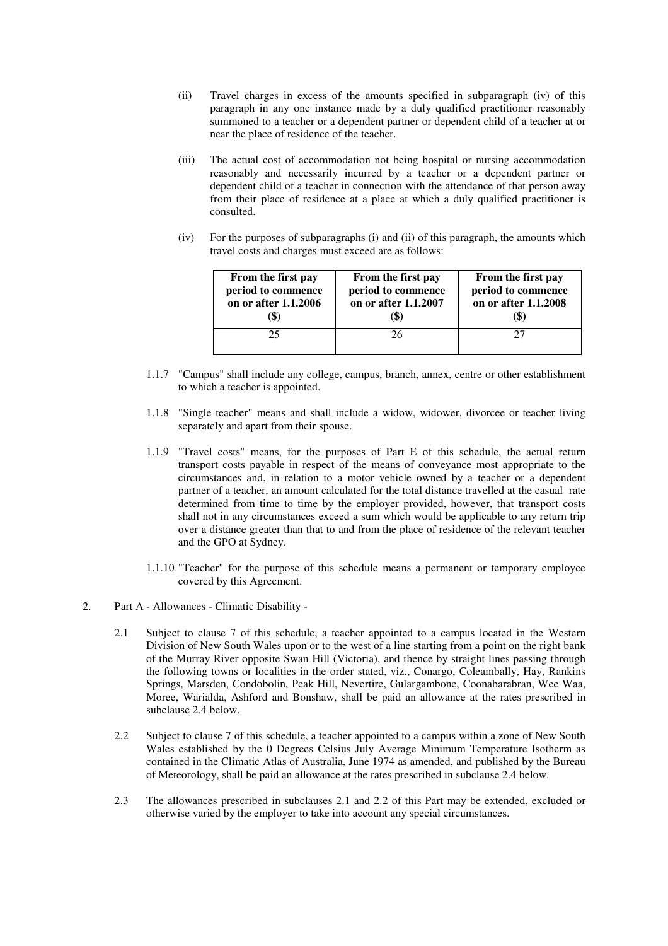- (ii) Travel charges in excess of the amounts specified in subparagraph (iv) of this paragraph in any one instance made by a duly qualified practitioner reasonably summoned to a teacher or a dependent partner or dependent child of a teacher at or near the place of residence of the teacher.
- (iii) The actual cost of accommodation not being hospital or nursing accommodation reasonably and necessarily incurred by a teacher or a dependent partner or dependent child of a teacher in connection with the attendance of that person away from their place of residence at a place at which a duly qualified practitioner is consulted.
- (iv) For the purposes of subparagraphs (i) and (ii) of this paragraph, the amounts which travel costs and charges must exceed are as follows:

| From the first pay<br>period to commence<br>on or after 1.1.2006 | From the first pay<br>period to commence<br>on or after 1.1.2007 | From the first pay<br>period to commence<br>on or after 1.1.2008<br>(\$) |
|------------------------------------------------------------------|------------------------------------------------------------------|--------------------------------------------------------------------------|
| 25                                                               | 26                                                               | 27                                                                       |

- 1.1.7 "Campus" shall include any college, campus, branch, annex, centre or other establishment to which a teacher is appointed.
- 1.1.8 "Single teacher" means and shall include a widow, widower, divorcee or teacher living separately and apart from their spouse.
- 1.1.9 "Travel costs" means, for the purposes of Part E of this schedule, the actual return transport costs payable in respect of the means of conveyance most appropriate to the circumstances and, in relation to a motor vehicle owned by a teacher or a dependent partner of a teacher, an amount calculated for the total distance travelled at the casual rate determined from time to time by the employer provided, however, that transport costs shall not in any circumstances exceed a sum which would be applicable to any return trip over a distance greater than that to and from the place of residence of the relevant teacher and the GPO at Sydney.
- 1.1.10 "Teacher" for the purpose of this schedule means a permanent or temporary employee covered by this Agreement.
- 2. Part A Allowances Climatic Disability
	- 2.1 Subject to clause 7 of this schedule, a teacher appointed to a campus located in the Western Division of New South Wales upon or to the west of a line starting from a point on the right bank of the Murray River opposite Swan Hill (Victoria), and thence by straight lines passing through the following towns or localities in the order stated, viz., Conargo, Coleambally, Hay, Rankins Springs, Marsden, Condobolin, Peak Hill, Nevertire, Gulargambone, Coonabarabran, Wee Waa, Moree, Warialda, Ashford and Bonshaw, shall be paid an allowance at the rates prescribed in subclause 2.4 below.
	- 2.2 Subject to clause 7 of this schedule, a teacher appointed to a campus within a zone of New South Wales established by the 0 Degrees Celsius July Average Minimum Temperature Isotherm as contained in the Climatic Atlas of Australia, June 1974 as amended, and published by the Bureau of Meteorology, shall be paid an allowance at the rates prescribed in subclause 2.4 below.
	- 2.3 The allowances prescribed in subclauses 2.1 and 2.2 of this Part may be extended, excluded or otherwise varied by the employer to take into account any special circumstances.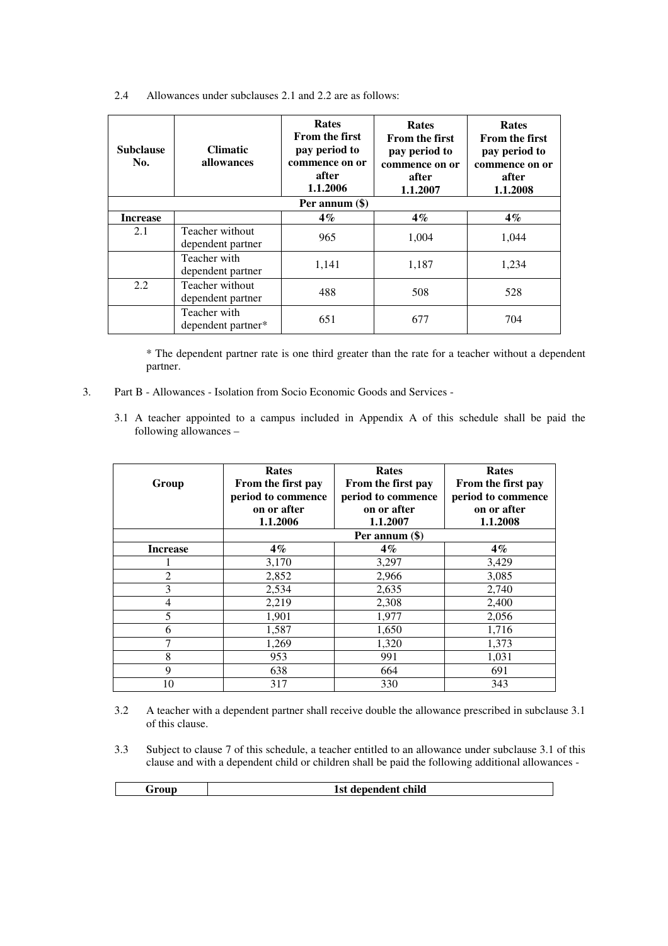| 2.4 | Allowances under subclauses 2.1 and 2.2 are as follows: |  |  |  |  |  |  |
|-----|---------------------------------------------------------|--|--|--|--|--|--|
|-----|---------------------------------------------------------|--|--|--|--|--|--|

| <b>Subclause</b><br>No. | <b>Climatic</b><br>allowances        | Rates<br><b>From the first</b><br>pay period to<br>commence on or<br>after<br>1.1.2006 | <b>Rates</b><br><b>From the first</b><br>pay period to<br>commence on or<br>after<br>1.1.2007 | <b>Rates</b><br><b>From the first</b><br>pay period to<br>commence on or<br>after<br>1.1.2008 |  |
|-------------------------|--------------------------------------|----------------------------------------------------------------------------------------|-----------------------------------------------------------------------------------------------|-----------------------------------------------------------------------------------------------|--|
| Per annum (\$)          |                                      |                                                                                        |                                                                                               |                                                                                               |  |
| <b>Increase</b>         |                                      | $4\%$                                                                                  | $4\%$                                                                                         | $4\%$                                                                                         |  |
| 2.1                     | Teacher without<br>dependent partner | 965                                                                                    | 1,004                                                                                         | 1,044                                                                                         |  |
|                         | Teacher with<br>dependent partner    | 1,141                                                                                  | 1,187                                                                                         | 1,234                                                                                         |  |
| 2.2                     | Teacher without<br>dependent partner | 488                                                                                    | 508                                                                                           | 528                                                                                           |  |
|                         | Teacher with<br>dependent partner*   | 651                                                                                    | 677                                                                                           | 704                                                                                           |  |

\* The dependent partner rate is one third greater than the rate for a teacher without a dependent partner.

- 3. Part B Allowances Isolation from Socio Economic Goods and Services
	- 3.1 A teacher appointed to a campus included in Appendix A of this schedule shall be paid the following allowances –

| Group           | Rates<br>From the first pay<br>period to commence<br>on or after<br>1.1.2006 | Rates<br>From the first pay<br>period to commence<br>on or after<br>1.1.2007 | Rates<br>From the first pay<br>period to commence<br>on or after<br>1.1.2008 |
|-----------------|------------------------------------------------------------------------------|------------------------------------------------------------------------------|------------------------------------------------------------------------------|
|                 |                                                                              | Per annum (\$)                                                               |                                                                              |
| <b>Increase</b> | $4\%$                                                                        | $4\%$                                                                        | $4\%$                                                                        |
|                 | 3,170                                                                        | 3,297                                                                        | 3,429                                                                        |
| $\overline{2}$  | 2,852                                                                        | 2,966                                                                        | 3,085                                                                        |
| 3               | 2,534                                                                        | 2,635                                                                        | 2,740                                                                        |
| 4               | 2,219                                                                        | 2,308                                                                        | 2,400                                                                        |
| 5               | 1,901                                                                        | 1,977                                                                        | 2,056                                                                        |
| 6               | 1,587                                                                        | 1,650                                                                        | 1,716                                                                        |
| 7               | 1,269                                                                        | 1,320                                                                        | 1,373                                                                        |
| 8               | 953                                                                          | 991                                                                          | 1,031                                                                        |
| 9               | 638                                                                          | 664                                                                          | 691                                                                          |
| 10              | 317                                                                          | 330                                                                          | 343                                                                          |

- 3.2 A teacher with a dependent partner shall receive double the allowance prescribed in subclause 3.1 of this clause.
- 3.3 Subject to clause 7 of this schedule, a teacher entitled to an allowance under subclause 3.1 of this clause and with a dependent child or children shall be paid the following additional allowances -

**1st dependent child**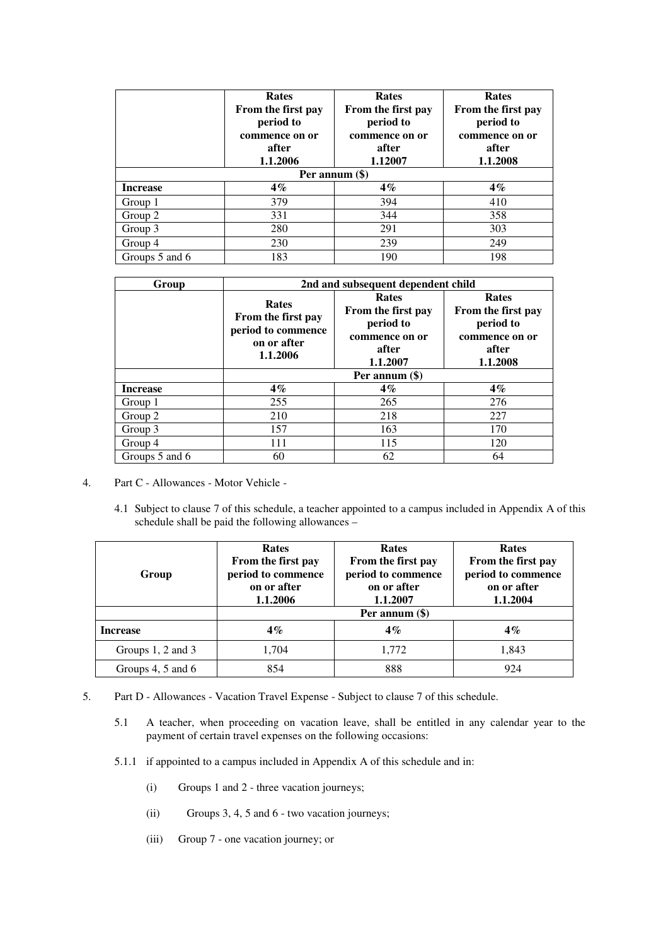|                 | <b>Rates</b><br>From the first pay<br>period to<br>commence on or<br>after<br>1.1.2006 | <b>Rates</b><br>From the first pay<br>period to<br>commence on or<br>after<br>1.12007 | <b>Rates</b><br>From the first pay<br>period to<br>commence on or<br>after<br>1.1.2008 |
|-----------------|----------------------------------------------------------------------------------------|---------------------------------------------------------------------------------------|----------------------------------------------------------------------------------------|
|                 | Per annum $(\$)$                                                                       |                                                                                       |                                                                                        |
| <b>Increase</b> | $4\%$                                                                                  | $4\%$                                                                                 | $4\%$                                                                                  |
| Group 1         | 379                                                                                    | 394                                                                                   | 410                                                                                    |
| Group 2         | 331                                                                                    | 344                                                                                   | 358                                                                                    |
| Group 3         | 280                                                                                    | 291                                                                                   | 303                                                                                    |
| Group 4         | 230                                                                                    | 239                                                                                   | 249                                                                                    |
| Groups 5 and 6  | 183                                                                                    | 190                                                                                   | 198                                                                                    |

| Group           | 2nd and subsequent dependent child                                                  |                                                                                        |                                                                                        |
|-----------------|-------------------------------------------------------------------------------------|----------------------------------------------------------------------------------------|----------------------------------------------------------------------------------------|
|                 | <b>Rates</b><br>From the first pay<br>period to commence<br>on or after<br>1.1.2006 | <b>Rates</b><br>From the first pay<br>period to<br>commence on or<br>after<br>1.1.2007 | <b>Rates</b><br>From the first pay<br>period to<br>commence on or<br>after<br>1.1.2008 |
|                 | Per annum (\$)                                                                      |                                                                                        |                                                                                        |
| <b>Increase</b> | $4\%$                                                                               | $4\%$                                                                                  | $4\%$                                                                                  |
| Group 1         | 255                                                                                 | 265                                                                                    | 276                                                                                    |
| Group 2         | 210                                                                                 | 218                                                                                    | 227                                                                                    |
| Group 3         | 157                                                                                 | 163                                                                                    | 170                                                                                    |
| Group 4         | 111                                                                                 | 115                                                                                    | 120                                                                                    |
| Groups 5 and 6  | 60                                                                                  | 62                                                                                     | 64                                                                                     |

- 4. Part C Allowances Motor Vehicle
	- 4.1 Subject to clause 7 of this schedule, a teacher appointed to a campus included in Appendix A of this schedule shall be paid the following allowances –

| Group             | <b>Rates</b><br>From the first pay<br>period to commence<br>on or after<br>1.1.2006 | Rates<br>From the first pay<br>period to commence<br>on or after<br>1.1.2007 | Rates<br>From the first pay<br>period to commence<br>on or after<br>1.1.2004 |
|-------------------|-------------------------------------------------------------------------------------|------------------------------------------------------------------------------|------------------------------------------------------------------------------|
|                   | Per annum $(\$)$                                                                    |                                                                              |                                                                              |
| <b>Increase</b>   | $4\%$                                                                               | $4\%$                                                                        | $4\%$                                                                        |
| Groups 1, 2 and 3 | 1,704                                                                               | 1,772                                                                        | 1,843                                                                        |
| Groups 4, 5 and 6 | 854                                                                                 | 888                                                                          | 924                                                                          |

- 5. Part D Allowances Vacation Travel Expense Subject to clause 7 of this schedule.
	- 5.1 A teacher, when proceeding on vacation leave, shall be entitled in any calendar year to the payment of certain travel expenses on the following occasions:
	- 5.1.1 if appointed to a campus included in Appendix A of this schedule and in:
		- (i) Groups 1 and 2 three vacation journeys;
		- (ii) Groups 3, 4, 5 and 6 two vacation journeys;
		- (iii) Group 7 one vacation journey; or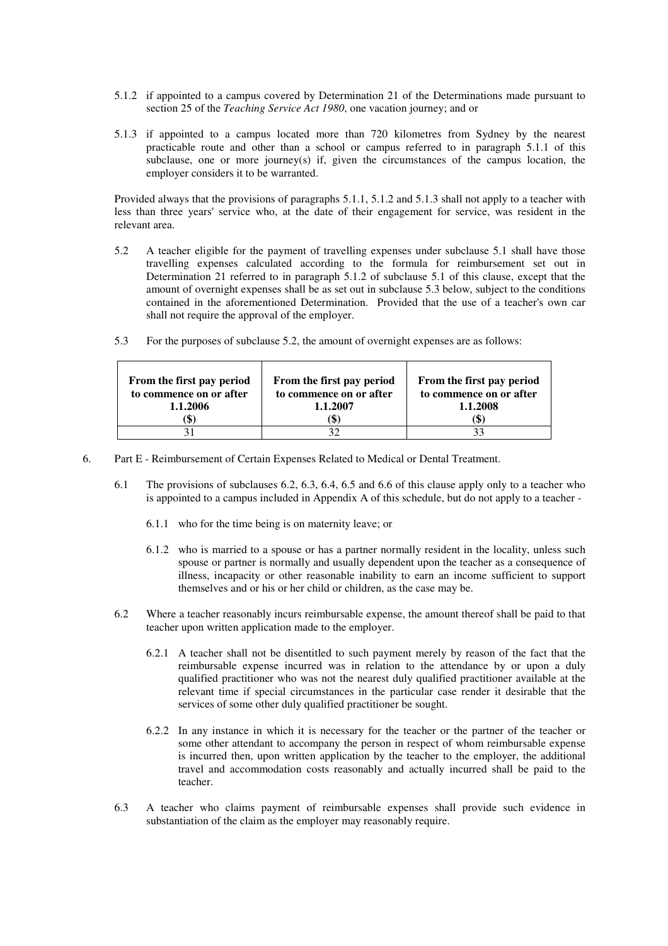- 5.1.2 if appointed to a campus covered by Determination 21 of the Determinations made pursuant to section 25 of the *Teaching Service Act 1980*, one vacation journey; and or
- 5.1.3 if appointed to a campus located more than 720 kilometres from Sydney by the nearest practicable route and other than a school or campus referred to in paragraph 5.1.1 of this subclause, one or more journey(s) if, given the circumstances of the campus location, the employer considers it to be warranted.

Provided always that the provisions of paragraphs 5.1.1, 5.1.2 and 5.1.3 shall not apply to a teacher with less than three years' service who, at the date of their engagement for service, was resident in the relevant area.

- 5.2 A teacher eligible for the payment of travelling expenses under subclause 5.1 shall have those travelling expenses calculated according to the formula for reimbursement set out in Determination 21 referred to in paragraph 5.1.2 of subclause 5.1 of this clause, except that the amount of overnight expenses shall be as set out in subclause 5.3 below, subject to the conditions contained in the aforementioned Determination. Provided that the use of a teacher's own car shall not require the approval of the employer.
- 5.3 For the purposes of subclause 5.2, the amount of overnight expenses are as follows:

| From the first pay period<br>to commence on or after<br>1.1.2006<br>J. | From the first pay period<br>to commence on or after<br>1.1.2007 | From the first pay period<br>to commence on or after<br>1.1.2008 |
|------------------------------------------------------------------------|------------------------------------------------------------------|------------------------------------------------------------------|
|                                                                        |                                                                  |                                                                  |

- 6. Part E Reimbursement of Certain Expenses Related to Medical or Dental Treatment.
	- 6.1 The provisions of subclauses 6.2, 6.3, 6.4, 6.5 and 6.6 of this clause apply only to a teacher who is appointed to a campus included in Appendix A of this schedule, but do not apply to a teacher -
		- 6.1.1 who for the time being is on maternity leave; or
		- 6.1.2 who is married to a spouse or has a partner normally resident in the locality, unless such spouse or partner is normally and usually dependent upon the teacher as a consequence of illness, incapacity or other reasonable inability to earn an income sufficient to support themselves and or his or her child or children, as the case may be.
	- 6.2 Where a teacher reasonably incurs reimbursable expense, the amount thereof shall be paid to that teacher upon written application made to the employer.
		- 6.2.1 A teacher shall not be disentitled to such payment merely by reason of the fact that the reimbursable expense incurred was in relation to the attendance by or upon a duly qualified practitioner who was not the nearest duly qualified practitioner available at the relevant time if special circumstances in the particular case render it desirable that the services of some other duly qualified practitioner be sought.
		- 6.2.2 In any instance in which it is necessary for the teacher or the partner of the teacher or some other attendant to accompany the person in respect of whom reimbursable expense is incurred then, upon written application by the teacher to the employer, the additional travel and accommodation costs reasonably and actually incurred shall be paid to the teacher.
	- 6.3 A teacher who claims payment of reimbursable expenses shall provide such evidence in substantiation of the claim as the employer may reasonably require.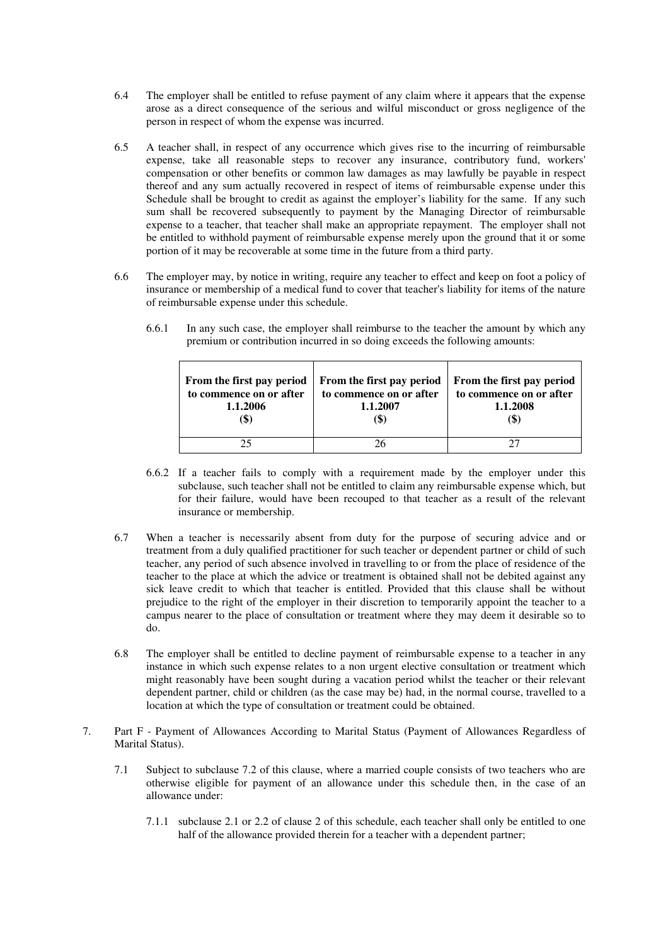- 6.4 The employer shall be entitled to refuse payment of any claim where it appears that the expense arose as a direct consequence of the serious and wilful misconduct or gross negligence of the person in respect of whom the expense was incurred.
- 6.5 A teacher shall, in respect of any occurrence which gives rise to the incurring of reimbursable expense, take all reasonable steps to recover any insurance, contributory fund, workers' compensation or other benefits or common law damages as may lawfully be payable in respect thereof and any sum actually recovered in respect of items of reimbursable expense under this Schedule shall be brought to credit as against the employer's liability for the same. If any such sum shall be recovered subsequently to payment by the Managing Director of reimbursable expense to a teacher, that teacher shall make an appropriate repayment. The employer shall not be entitled to withhold payment of reimbursable expense merely upon the ground that it or some portion of it may be recoverable at some time in the future from a third party.
- 6.6 The employer may, by notice in writing, require any teacher to effect and keep on foot a policy of insurance or membership of a medical fund to cover that teacher's liability for items of the nature of reimbursable expense under this schedule.
	- 6.6.1 In any such case, the employer shall reimburse to the teacher the amount by which any premium or contribution incurred in so doing exceeds the following amounts:

| From the first pay period<br>to commence on or after<br>1.1.2006 | From the first pay period<br>to commence on or after<br>1.1.2007 | From the first pay period<br>to commence on or after<br>1.1.2008<br>(\$` |
|------------------------------------------------------------------|------------------------------------------------------------------|--------------------------------------------------------------------------|
|                                                                  |                                                                  |                                                                          |

- 6.6.2 If a teacher fails to comply with a requirement made by the employer under this subclause, such teacher shall not be entitled to claim any reimbursable expense which, but for their failure, would have been recouped to that teacher as a result of the relevant insurance or membership.
- 6.7 When a teacher is necessarily absent from duty for the purpose of securing advice and or treatment from a duly qualified practitioner for such teacher or dependent partner or child of such teacher, any period of such absence involved in travelling to or from the place of residence of the teacher to the place at which the advice or treatment is obtained shall not be debited against any sick leave credit to which that teacher is entitled. Provided that this clause shall be without prejudice to the right of the employer in their discretion to temporarily appoint the teacher to a campus nearer to the place of consultation or treatment where they may deem it desirable so to do.
- 6.8 The employer shall be entitled to decline payment of reimbursable expense to a teacher in any instance in which such expense relates to a non urgent elective consultation or treatment which might reasonably have been sought during a vacation period whilst the teacher or their relevant dependent partner, child or children (as the case may be) had, in the normal course, travelled to a location at which the type of consultation or treatment could be obtained.
- 7. Part F Payment of Allowances According to Marital Status (Payment of Allowances Regardless of Marital Status).
	- 7.1 Subject to subclause 7.2 of this clause, where a married couple consists of two teachers who are otherwise eligible for payment of an allowance under this schedule then, in the case of an allowance under:
		- 7.1.1 subclause 2.1 or 2.2 of clause 2 of this schedule, each teacher shall only be entitled to one half of the allowance provided therein for a teacher with a dependent partner;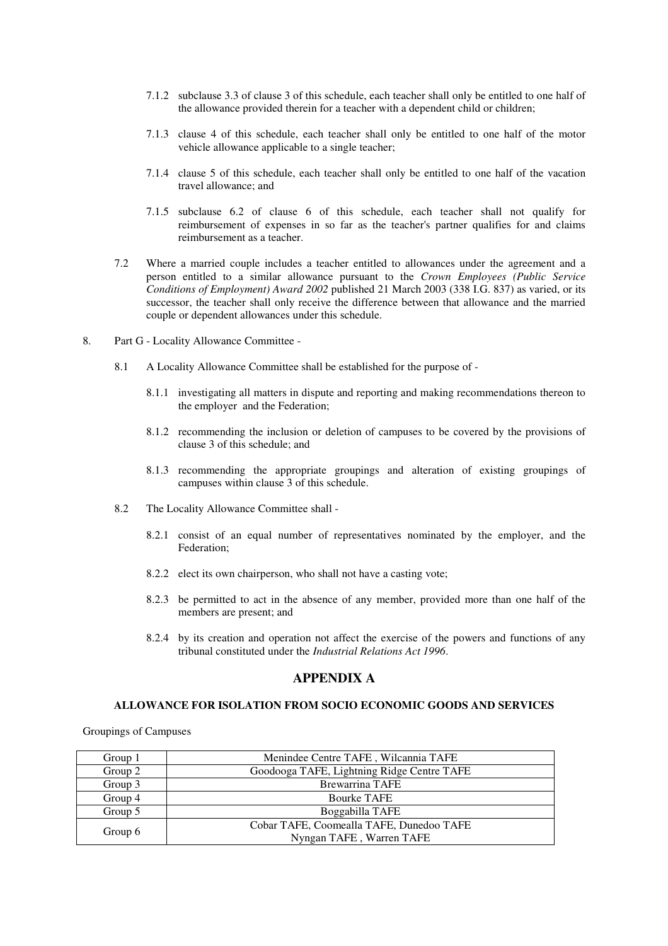- 7.1.2 subclause 3.3 of clause 3 of this schedule, each teacher shall only be entitled to one half of the allowance provided therein for a teacher with a dependent child or children;
- 7.1.3 clause 4 of this schedule, each teacher shall only be entitled to one half of the motor vehicle allowance applicable to a single teacher;
- 7.1.4 clause 5 of this schedule, each teacher shall only be entitled to one half of the vacation travel allowance; and
- 7.1.5 subclause 6.2 of clause 6 of this schedule, each teacher shall not qualify for reimbursement of expenses in so far as the teacher's partner qualifies for and claims reimbursement as a teacher.
- 7.2 Where a married couple includes a teacher entitled to allowances under the agreement and a person entitled to a similar allowance pursuant to the *Crown Employees (Public Service Conditions of Employment) Award 2002* published 21 March 2003 (338 I.G. 837) as varied, or its successor, the teacher shall only receive the difference between that allowance and the married couple or dependent allowances under this schedule.
- 8. Part G Locality Allowance Committee
	- 8.1 A Locality Allowance Committee shall be established for the purpose of
		- 8.1.1 investigating all matters in dispute and reporting and making recommendations thereon to the employer and the Federation;
		- 8.1.2 recommending the inclusion or deletion of campuses to be covered by the provisions of clause 3 of this schedule; and
		- 8.1.3 recommending the appropriate groupings and alteration of existing groupings of campuses within clause 3 of this schedule.
	- 8.2 The Locality Allowance Committee shall
		- 8.2.1 consist of an equal number of representatives nominated by the employer, and the Federation;
		- 8.2.2 elect its own chairperson, who shall not have a casting vote;
		- 8.2.3 be permitted to act in the absence of any member, provided more than one half of the members are present; and
		- 8.2.4 by its creation and operation not affect the exercise of the powers and functions of any tribunal constituted under the *Industrial Relations Act 1996*.

# **APPENDIX A**

# **ALLOWANCE FOR ISOLATION FROM SOCIO ECONOMIC GOODS AND SERVICES**

Groupings of Campuses

| Group 1 | Menindee Centre TAFE, Wilcannia TAFE       |  |
|---------|--------------------------------------------|--|
| Group 2 | Goodooga TAFE, Lightning Ridge Centre TAFE |  |
| Group 3 | <b>Brewarrina TAFE</b>                     |  |
| Group 4 | <b>Bourke TAFE</b>                         |  |
| Group 5 | Boggabilla TAFE                            |  |
|         | Cobar TAFE, Coomealla TAFE, Dunedoo TAFE   |  |
| Group 6 | Nyngan TAFE, Warren TAFE                   |  |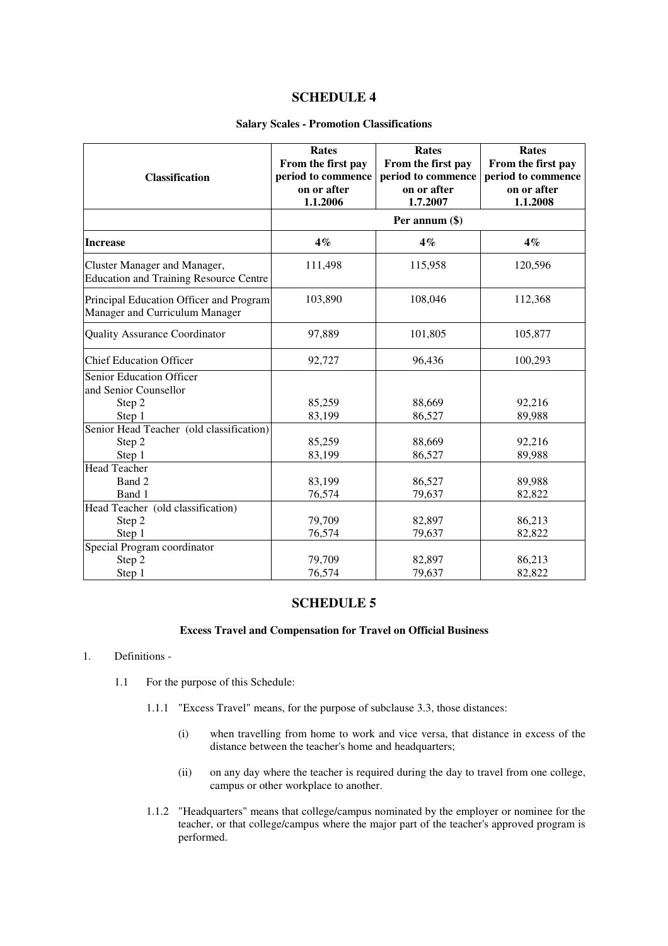# **SCHEDULE 4**

# **Salary Scales - Promotion Classifications**

| <b>Classification</b>                                                         | Rates<br>From the first pay<br>period to commence<br>on or after<br>1.1.2006 | <b>Rates</b><br>From the first pay<br>period to commence<br>on or after<br>1.7.2007 | Rates<br>From the first pay<br>period to commence<br>on or after<br>1.1.2008 |
|-------------------------------------------------------------------------------|------------------------------------------------------------------------------|-------------------------------------------------------------------------------------|------------------------------------------------------------------------------|
|                                                                               |                                                                              | Per annum (\$)                                                                      |                                                                              |
| <b>Increase</b>                                                               | $4\%$                                                                        | $4\%$                                                                               | $4\%$                                                                        |
| Cluster Manager and Manager,<br><b>Education and Training Resource Centre</b> | 111,498                                                                      | 115,958                                                                             | 120,596                                                                      |
| Principal Education Officer and Program<br>Manager and Curriculum Manager     | 103,890                                                                      | 108,046                                                                             | 112,368                                                                      |
| <b>Quality Assurance Coordinator</b>                                          | 97,889                                                                       | 101,805                                                                             | 105,877                                                                      |
| <b>Chief Education Officer</b>                                                | 92,727                                                                       | 96,436                                                                              | 100,293                                                                      |
| Senior Education Officer<br>and Senior Counsellor                             |                                                                              |                                                                                     |                                                                              |
| Step 2<br>Step 1                                                              | 85,259<br>83,199                                                             | 88,669<br>86,527                                                                    | 92,216<br>89,988                                                             |
| Senior Head Teacher (old classification)                                      |                                                                              |                                                                                     |                                                                              |
| Step 2                                                                        | 85,259                                                                       | 88,669                                                                              | 92,216                                                                       |
| Step 1                                                                        | 83,199                                                                       | 86,527                                                                              | 89,988                                                                       |
| <b>Head Teacher</b>                                                           |                                                                              |                                                                                     |                                                                              |
| Band 2                                                                        | 83,199                                                                       | 86,527                                                                              | 89,988                                                                       |
| Band 1                                                                        | 76,574                                                                       | 79,637                                                                              | 82,822                                                                       |
| Head Teacher (old classification)                                             |                                                                              |                                                                                     |                                                                              |
| Step 2                                                                        | 79,709                                                                       | 82,897                                                                              | 86,213                                                                       |
| Step 1                                                                        | 76,574                                                                       | 79,637                                                                              | 82,822                                                                       |
| Special Program coordinator                                                   |                                                                              |                                                                                     |                                                                              |
| Step 2                                                                        | 79,709                                                                       | 82,897                                                                              | 86,213                                                                       |
| Step 1                                                                        | 76,574                                                                       | 79,637                                                                              | 82,822                                                                       |

# **SCHEDULE 5**

# **Excess Travel and Compensation for Travel on Official Business**

- 1. Definitions
	- 1.1 For the purpose of this Schedule:
		- 1.1.1 "Excess Travel" means, for the purpose of subclause 3.3, those distances:
			- (i) when travelling from home to work and vice versa, that distance in excess of the distance between the teacher's home and headquarters;
			- (ii) on any day where the teacher is required during the day to travel from one college, campus or other workplace to another.
		- 1.1.2 "Headquarters" means that college/campus nominated by the employer or nominee for the teacher, or that college/campus where the major part of the teacher's approved program is performed.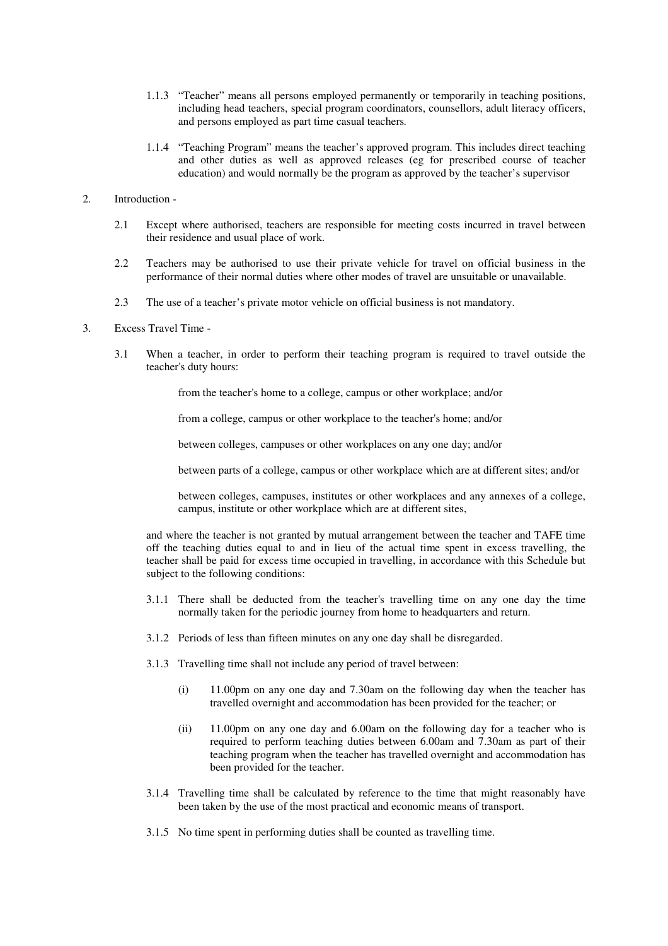- 1.1.3 "Teacher" means all persons employed permanently or temporarily in teaching positions, including head teachers, special program coordinators, counsellors, adult literacy officers, and persons employed as part time casual teachers*.*
- 1.1.4 "Teaching Program" means the teacher's approved program. This includes direct teaching and other duties as well as approved releases (eg for prescribed course of teacher education) and would normally be the program as approved by the teacher's supervisor
- 2. Introduction
	- 2.1 Except where authorised, teachers are responsible for meeting costs incurred in travel between their residence and usual place of work.
	- 2.2 Teachers may be authorised to use their private vehicle for travel on official business in the performance of their normal duties where other modes of travel are unsuitable or unavailable.
	- 2.3 The use of a teacher's private motor vehicle on official business is not mandatory.
- 3. Excess Travel Time
	- 3.1 When a teacher, in order to perform their teaching program is required to travel outside the teacher's duty hours:

from the teacher's home to a college, campus or other workplace; and/or

from a college, campus or other workplace to the teacher's home; and/or

between colleges, campuses or other workplaces on any one day; and/or

between parts of a college, campus or other workplace which are at different sites; and/or

between colleges, campuses, institutes or other workplaces and any annexes of a college, campus, institute or other workplace which are at different sites,

and where the teacher is not granted by mutual arrangement between the teacher and TAFE time off the teaching duties equal to and in lieu of the actual time spent in excess travelling, the teacher shall be paid for excess time occupied in travelling, in accordance with this Schedule but subject to the following conditions:

- 3.1.1 There shall be deducted from the teacher's travelling time on any one day the time normally taken for the periodic journey from home to headquarters and return.
- 3.1.2 Periods of less than fifteen minutes on any one day shall be disregarded.
- 3.1.3 Travelling time shall not include any period of travel between:
	- (i) 11.00pm on any one day and 7.30am on the following day when the teacher has travelled overnight and accommodation has been provided for the teacher; or
	- (ii) 11.00pm on any one day and 6.00am on the following day for a teacher who is required to perform teaching duties between 6.00am and 7.30am as part of their teaching program when the teacher has travelled overnight and accommodation has been provided for the teacher.
- 3.1.4 Travelling time shall be calculated by reference to the time that might reasonably have been taken by the use of the most practical and economic means of transport.
- 3.1.5 No time spent in performing duties shall be counted as travelling time.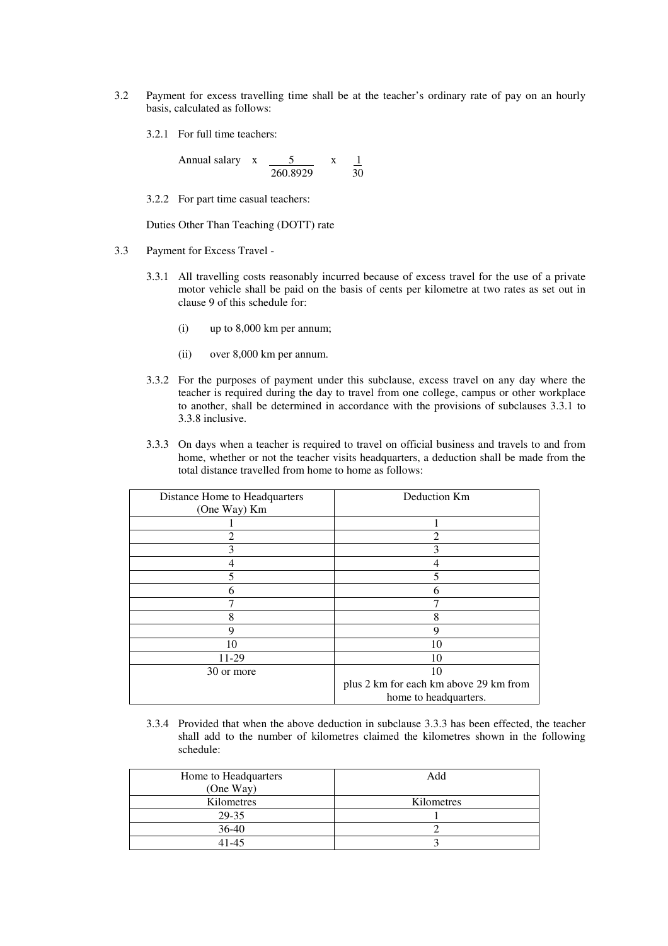- 3.2 Payment for excess travelling time shall be at the teacher's ordinary rate of pay on an hourly basis, calculated as follows:
	- 3.2.1 For full time teachers:

$$
Annual salary \quad x \quad \frac{5}{260.8929} \quad x \quad \frac{1}{30}
$$

3.2.2 For part time casual teachers:

Duties Other Than Teaching (DOTT) rate

- 3.3 Payment for Excess Travel
	- 3.3.1 All travelling costs reasonably incurred because of excess travel for the use of a private motor vehicle shall be paid on the basis of cents per kilometre at two rates as set out in clause 9 of this schedule for:
		- (i) up to 8,000 km per annum;
		- (ii) over 8,000 km per annum.
	- 3.3.2 For the purposes of payment under this subclause, excess travel on any day where the teacher is required during the day to travel from one college, campus or other workplace to another, shall be determined in accordance with the provisions of subclauses 3.3.1 to 3.3.8 inclusive.
	- 3.3.3 On days when a teacher is required to travel on official business and travels to and from home, whether or not the teacher visits headquarters, a deduction shall be made from the total distance travelled from home to home as follows:

| Distance Home to Headquarters | Deduction Km                           |
|-------------------------------|----------------------------------------|
| (One Way) Km                  |                                        |
|                               |                                        |
| 2                             | 2                                      |
| 3                             |                                        |
|                               |                                        |
| 5                             |                                        |
| 6                             | n                                      |
|                               |                                        |
| 8                             |                                        |
| 9                             | 9                                      |
| 10                            | 10                                     |
| 11-29                         | 10                                     |
| 30 or more                    | 10                                     |
|                               | plus 2 km for each km above 29 km from |
|                               | home to headquarters.                  |

3.3.4 Provided that when the above deduction in subclause 3.3.3 has been effected, the teacher shall add to the number of kilometres claimed the kilometres shown in the following schedule:

| Home to Headquarters | Add        |
|----------------------|------------|
| (One Way)            |            |
| Kilometres           | Kilometres |
| 29-35                |            |
| $36-40$              |            |
| 41-45                |            |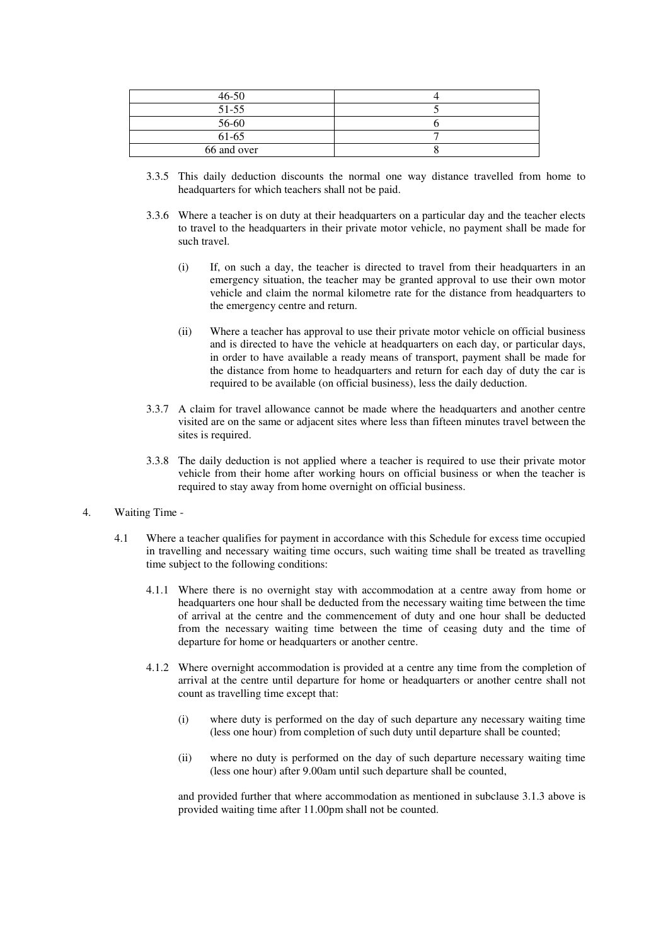| $46 - 50$   |  |
|-------------|--|
| $51 - 55$   |  |
| 56-60       |  |
| 61-65       |  |
| 66 and over |  |

- 3.3.5 This daily deduction discounts the normal one way distance travelled from home to headquarters for which teachers shall not be paid.
- 3.3.6 Where a teacher is on duty at their headquarters on a particular day and the teacher elects to travel to the headquarters in their private motor vehicle, no payment shall be made for such travel.
	- (i) If, on such a day, the teacher is directed to travel from their headquarters in an emergency situation, the teacher may be granted approval to use their own motor vehicle and claim the normal kilometre rate for the distance from headquarters to the emergency centre and return.
	- (ii) Where a teacher has approval to use their private motor vehicle on official business and is directed to have the vehicle at headquarters on each day, or particular days, in order to have available a ready means of transport, payment shall be made for the distance from home to headquarters and return for each day of duty the car is required to be available (on official business), less the daily deduction.
- 3.3.7 A claim for travel allowance cannot be made where the headquarters and another centre visited are on the same or adjacent sites where less than fifteen minutes travel between the sites is required.
- 3.3.8 The daily deduction is not applied where a teacher is required to use their private motor vehicle from their home after working hours on official business or when the teacher is required to stay away from home overnight on official business.
- 4. Waiting Time
	- 4.1 Where a teacher qualifies for payment in accordance with this Schedule for excess time occupied in travelling and necessary waiting time occurs, such waiting time shall be treated as travelling time subject to the following conditions:
		- 4.1.1 Where there is no overnight stay with accommodation at a centre away from home or headquarters one hour shall be deducted from the necessary waiting time between the time of arrival at the centre and the commencement of duty and one hour shall be deducted from the necessary waiting time between the time of ceasing duty and the time of departure for home or headquarters or another centre.
		- 4.1.2 Where overnight accommodation is provided at a centre any time from the completion of arrival at the centre until departure for home or headquarters or another centre shall not count as travelling time except that:
			- (i) where duty is performed on the day of such departure any necessary waiting time (less one hour) from completion of such duty until departure shall be counted;
			- (ii) where no duty is performed on the day of such departure necessary waiting time (less one hour) after 9.00am until such departure shall be counted,

and provided further that where accommodation as mentioned in subclause 3.1.3 above is provided waiting time after 11.00pm shall not be counted.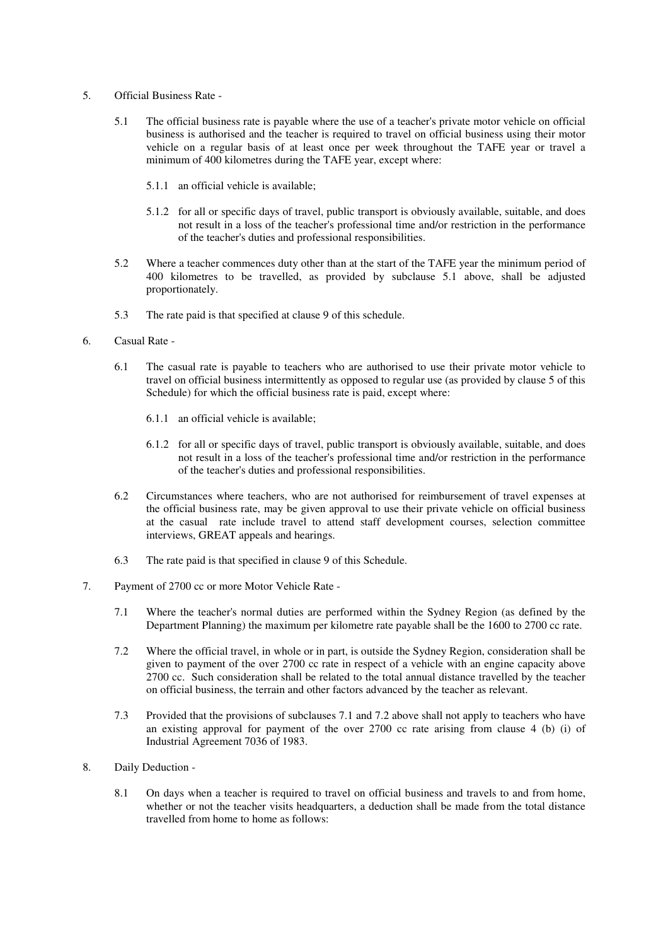- 5. Official Business Rate
	- 5.1 The official business rate is payable where the use of a teacher's private motor vehicle on official business is authorised and the teacher is required to travel on official business using their motor vehicle on a regular basis of at least once per week throughout the TAFE year or travel a minimum of 400 kilometres during the TAFE year, except where:
		- 5.1.1 an official vehicle is available;
		- 5.1.2 for all or specific days of travel, public transport is obviously available, suitable, and does not result in a loss of the teacher's professional time and/or restriction in the performance of the teacher's duties and professional responsibilities.
	- 5.2 Where a teacher commences duty other than at the start of the TAFE year the minimum period of 400 kilometres to be travelled, as provided by subclause 5.1 above, shall be adjusted proportionately.
	- 5.3 The rate paid is that specified at clause 9 of this schedule.
- 6. Casual Rate
	- 6.1 The casual rate is payable to teachers who are authorised to use their private motor vehicle to travel on official business intermittently as opposed to regular use (as provided by clause 5 of this Schedule) for which the official business rate is paid, except where:
		- 6.1.1 an official vehicle is available;
		- 6.1.2 for all or specific days of travel, public transport is obviously available, suitable, and does not result in a loss of the teacher's professional time and/or restriction in the performance of the teacher's duties and professional responsibilities.
	- 6.2 Circumstances where teachers, who are not authorised for reimbursement of travel expenses at the official business rate, may be given approval to use their private vehicle on official business at the casual rate include travel to attend staff development courses, selection committee interviews, GREAT appeals and hearings.
	- 6.3 The rate paid is that specified in clause 9 of this Schedule.
- 7. Payment of 2700 cc or more Motor Vehicle Rate
	- 7.1 Where the teacher's normal duties are performed within the Sydney Region (as defined by the Department Planning) the maximum per kilometre rate payable shall be the 1600 to 2700 cc rate.
	- 7.2 Where the official travel, in whole or in part, is outside the Sydney Region, consideration shall be given to payment of the over 2700 cc rate in respect of a vehicle with an engine capacity above 2700 cc. Such consideration shall be related to the total annual distance travelled by the teacher on official business, the terrain and other factors advanced by the teacher as relevant.
	- 7.3 Provided that the provisions of subclauses 7.1 and 7.2 above shall not apply to teachers who have an existing approval for payment of the over 2700 cc rate arising from clause 4 (b) (i) of Industrial Agreement 7036 of 1983.
- 8. Daily Deduction
	- 8.1 On days when a teacher is required to travel on official business and travels to and from home, whether or not the teacher visits headquarters, a deduction shall be made from the total distance travelled from home to home as follows: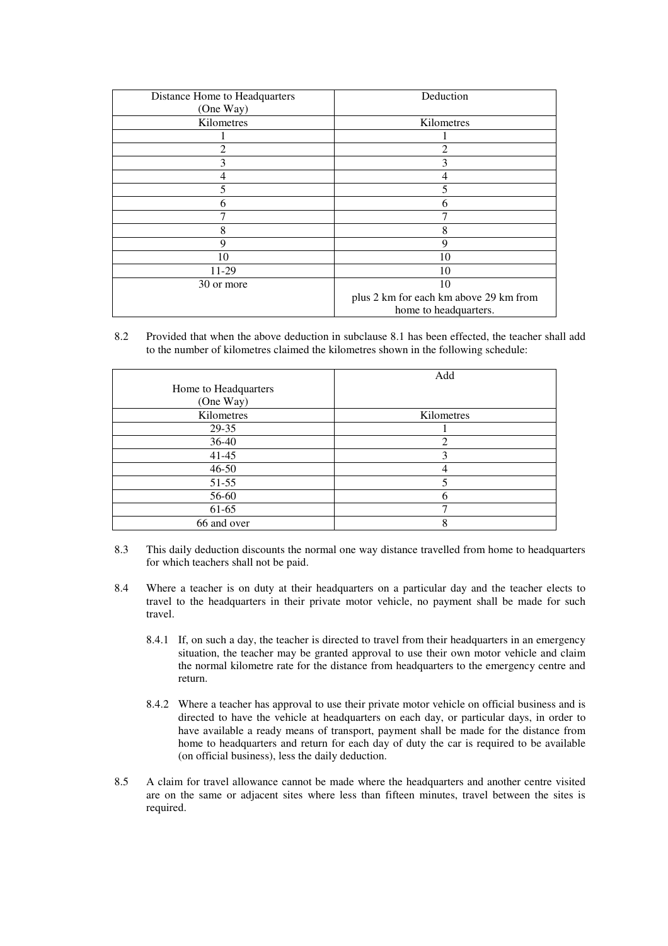| Distance Home to Headquarters | Deduction                              |
|-------------------------------|----------------------------------------|
| (One Way)                     |                                        |
| Kilometres                    | Kilometres                             |
|                               |                                        |
| 2                             | $\overline{c}$                         |
| 3                             | 3                                      |
| 4                             | 4                                      |
| 5                             | 5                                      |
| 6                             | 6                                      |
|                               |                                        |
| 8                             | 8                                      |
| 9                             | 9                                      |
| 10                            | 10                                     |
| 11-29                         | 10                                     |
| 30 or more                    | 10                                     |
|                               | plus 2 km for each km above 29 km from |
|                               | home to headquarters.                  |

8.2 Provided that when the above deduction in subclause 8.1 has been effected, the teacher shall add to the number of kilometres claimed the kilometres shown in the following schedule:

|                      | Add        |
|----------------------|------------|
| Home to Headquarters |            |
| (One Way)            |            |
| Kilometres           | Kilometres |
| 29-35                |            |
| 36-40                | 2          |
| $41 - 45$            | 3          |
| $46 - 50$            |            |
| $51-55$              |            |
| 56-60                | 6          |
| 61-65                |            |
| 66 and over          | 8          |

- 8.3 This daily deduction discounts the normal one way distance travelled from home to headquarters for which teachers shall not be paid.
- 8.4 Where a teacher is on duty at their headquarters on a particular day and the teacher elects to travel to the headquarters in their private motor vehicle, no payment shall be made for such travel.
	- 8.4.1 If, on such a day, the teacher is directed to travel from their headquarters in an emergency situation, the teacher may be granted approval to use their own motor vehicle and claim the normal kilometre rate for the distance from headquarters to the emergency centre and return.
	- 8.4.2 Where a teacher has approval to use their private motor vehicle on official business and is directed to have the vehicle at headquarters on each day, or particular days, in order to have available a ready means of transport, payment shall be made for the distance from home to headquarters and return for each day of duty the car is required to be available (on official business), less the daily deduction.
- 8.5 A claim for travel allowance cannot be made where the headquarters and another centre visited are on the same or adjacent sites where less than fifteen minutes, travel between the sites is required.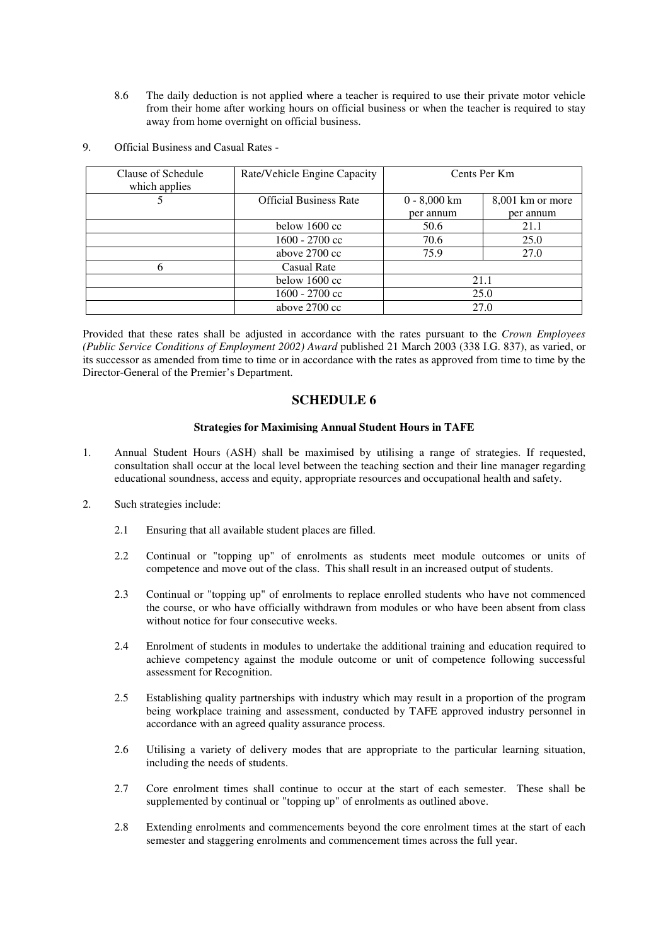8.6 The daily deduction is not applied where a teacher is required to use their private motor vehicle from their home after working hours on official business or when the teacher is required to stay away from home overnight on official business.

| Clause of Schedule<br>which applies | Rate/Vehicle Engine Capacity  |                | Cents Per Km     |
|-------------------------------------|-------------------------------|----------------|------------------|
|                                     | <b>Official Business Rate</b> | $0 - 8,000$ km | 8,001 km or more |
|                                     |                               | per annum      | per annum        |
|                                     | below $1600 \text{ cc}$       | 50.6           | 21.1             |
|                                     | 1600 - 2700 cc                | 70.6           | 25.0             |
|                                     | above 2700 cc                 | 75.9           | 27.0             |
| h                                   | Casual Rate                   |                |                  |
|                                     | below 1600 cc                 | 21.1           |                  |
|                                     | 1600 - 2700 cc                |                | 25.0             |
|                                     | above $2700 \text{ cc}$       |                | 27.0             |

9. Official Business and Casual Rates -

Provided that these rates shall be adjusted in accordance with the rates pursuant to the *Crown Employees (Public Service Conditions of Employment 2002) Award* published 21 March 2003 (338 I.G. 837), as varied, or its successor as amended from time to time or in accordance with the rates as approved from time to time by the Director-General of the Premier's Department.

# **SCHEDULE 6**

## **Strategies for Maximising Annual Student Hours in TAFE**

- 1. Annual Student Hours (ASH) shall be maximised by utilising a range of strategies. If requested, consultation shall occur at the local level between the teaching section and their line manager regarding educational soundness, access and equity, appropriate resources and occupational health and safety.
- 2. Such strategies include:
	- 2.1 Ensuring that all available student places are filled.
	- 2.2 Continual or "topping up" of enrolments as students meet module outcomes or units of competence and move out of the class. This shall result in an increased output of students.
	- 2.3 Continual or "topping up" of enrolments to replace enrolled students who have not commenced the course, or who have officially withdrawn from modules or who have been absent from class without notice for four consecutive weeks.
	- 2.4 Enrolment of students in modules to undertake the additional training and education required to achieve competency against the module outcome or unit of competence following successful assessment for Recognition.
	- 2.5 Establishing quality partnerships with industry which may result in a proportion of the program being workplace training and assessment, conducted by TAFE approved industry personnel in accordance with an agreed quality assurance process.
	- 2.6 Utilising a variety of delivery modes that are appropriate to the particular learning situation, including the needs of students.
	- 2.7 Core enrolment times shall continue to occur at the start of each semester. These shall be supplemented by continual or "topping up" of enrolments as outlined above.
	- 2.8 Extending enrolments and commencements beyond the core enrolment times at the start of each semester and staggering enrolments and commencement times across the full year.